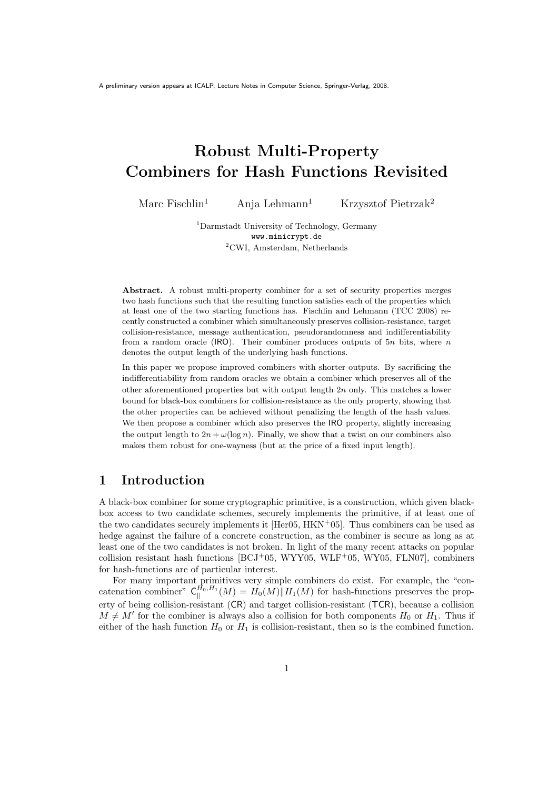# Robust Multi-Property Combiners for Hash Functions Revisited

Marc Fischlin<sup>1</sup> Anja Lehmann<sup>1</sup> Krzysztof Pietrzak<sup>2</sup>

<sup>1</sup>Darmstadt University of Technology, Germany www.minicrypt.de <sup>2</sup>CWI, Amsterdam, Netherlands

Abstract. A robust multi-property combiner for a set of security properties merges two hash functions such that the resulting function satisfies each of the properties which at least one of the two starting functions has. Fischlin and Lehmann (TCC 2008) recently constructed a combiner which simultaneously preserves collision-resistance, target collision-resistance, message authentication, pseudorandomness and indifferentiability from a random oracle (IRO). Their combiner produces outputs of  $5n$  bits, where n denotes the output length of the underlying hash functions.

In this paper we propose improved combiners with shorter outputs. By sacrificing the indifferentiability from random oracles we obtain a combiner which preserves all of the other aforementioned properties but with output length 2n only. This matches a lower bound for black-box combiners for collision-resistance as the only property, showing that the other properties can be achieved without penalizing the length of the hash values. We then propose a combiner which also preserves the IRO property, slightly increasing the output length to  $2n + \omega(\log n)$ . Finally, we show that a twist on our combiners also makes them robust for one-wayness (but at the price of a fixed input length).

# 1 Introduction

A black-box combiner for some cryptographic primitive, is a construction, which given blackbox access to two candidate schemes, securely implements the primitive, if at least one of the two candidates securely implements it  $[Her05, HKN<sup>+</sup>05]$ . Thus combiners can be used as hedge against the failure of a concrete construction, as the combiner is secure as long as at least one of the two candidates is not broken. In light of the many recent attacks on popular collision resistant hash functions [BCJ+05, WYY05, WLF+05, WY05, FLN07], combiners for hash-functions are of particular interest.

For many important primitives very simple combiners do exist. For example, the "concatenation combiner"  $C_{\parallel}^{\bar{H}_0, H_1}$  $H_0^{(n)}(M) = H_0(M)$   $\Vert H_1(M)$  for hash-functions preserves the property of being collision-resistant (CR) and target collision-resistant (TCR), because a collision  $M \neq M'$  for the combiner is always also a collision for both components  $H_0$  or  $H_1$ . Thus if either of the hash function  $H_0$  or  $H_1$  is collision-resistant, then so is the combined function.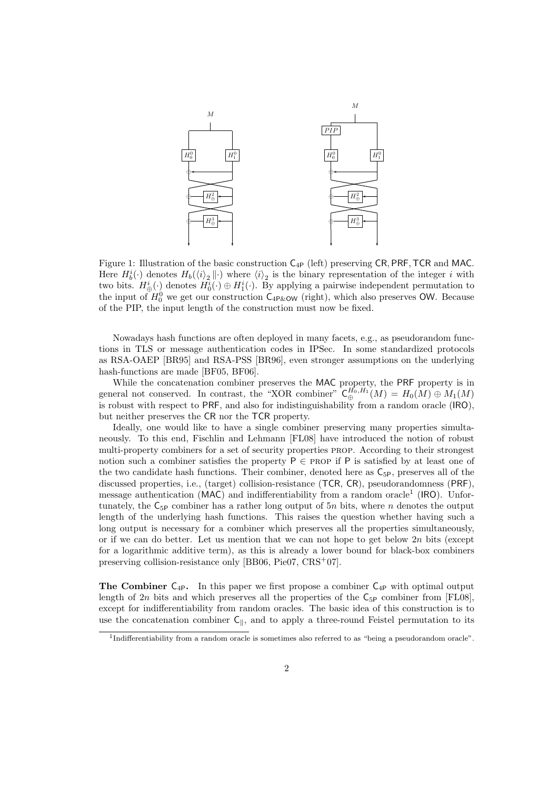

Figure 1: Illustration of the basic construction  $C_{4P}$  (left) preserving CR, PRF, TCR and MAC. Here  $H_b^i(\cdot)$  denotes  $H_b(\langle i \rangle_2 \|\cdot)$  where  $\langle i \rangle_2$  is the binary representation of the integer i with two bits.  $H^i_{\oplus}(\cdot)$  denotes  $H^i_0(\cdot) \oplus H^i_1(\cdot)$ . By applying a pairwise independent permutation to the input of  $H_0^0$  we get our construction  $C_{4P\&0}$  (right), which also preserves OW. Because of the PIP, the input length of the construction must now be fixed.

Nowadays hash functions are often deployed in many facets, e.g., as pseudorandom functions in TLS or message authentication codes in IPSec. In some standardized protocols as RSA-OAEP [BR95] and RSA-PSS [BR96], even stronger assumptions on the underlying hash-functions are made [BF05, BF06].

While the concatenation combiner preserves the MAC property, the PRF property is in general not conserved. In contrast, the "XOR combiner"  $C^{H_0,H_1}_{\oplus}(M) = H_0(M) \oplus M_1(M)$ is robust with respect to PRF, and also for indistinguishability from a random oracle (IRO), but neither preserves the CR nor the TCR property.

Ideally, one would like to have a single combiner preserving many properties simultaneously. To this end, Fischlin and Lehmann [FL08] have introduced the notion of robust multi-property combiners for a set of security properties prop. According to their strongest notion such a combiner satisfies the property  $P \in PROP$  if P is satisfied by at least one of the two candidate hash functions. Their combiner, denoted here as  $C_{5P}$ , preserves all of the discussed properties, i.e., (target) collision-resistance (TCR, CR), pseudorandomness (PRF), message authentication (MAC) and indifferentiability from a random oracle<sup>1</sup> (IRO). Unfortunately, the  $C_{5P}$  combiner has a rather long output of 5n bits, where n denotes the output length of the underlying hash functions. This raises the question whether having such a long output is necessary for a combiner which preserves all the properties simultaneously, or if we can do better. Let us mention that we can not hope to get below  $2n$  bits (except for a logarithmic additive term), as this is already a lower bound for black-box combiners preserving collision-resistance only [BB06, Pie07, CRS+07].

The Combiner  $C_{4P}$ . In this paper we first propose a combiner  $C_{4P}$  with optimal output length of 2n bits and which preserves all the properties of the  $C_{5P}$  combiner from [FL08], except for indifferentiability from random oracles. The basic idea of this construction is to use the concatenation combiner  $C_{\parallel}$ , and to apply a three-round Feistel permutation to its

<sup>&</sup>lt;sup>1</sup>Indifferentiability from a random oracle is sometimes also referred to as "being a pseudorandom oracle".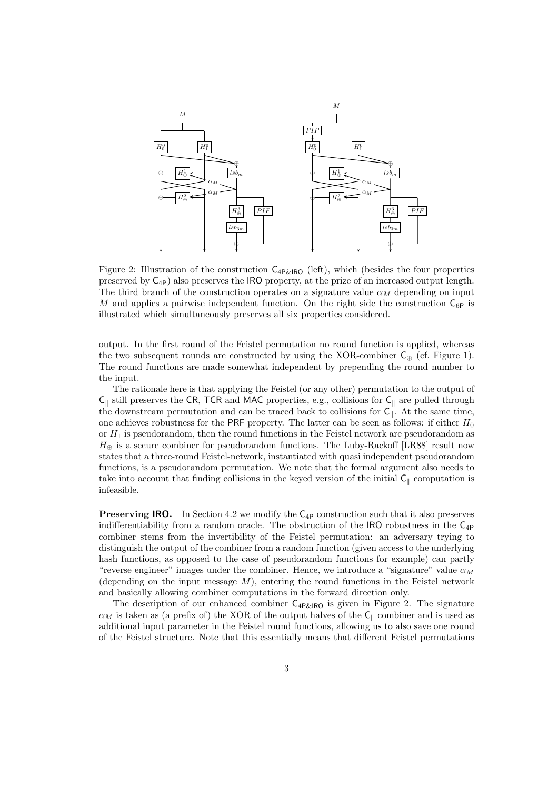

Figure 2: Illustration of the construction  $C_{4P\&1R0}$  (left), which (besides the four properties preserved by  $C_{4P}$ ) also preserves the IRO property, at the prize of an increased output length. The third branch of the construction operates on a signature value  $\alpha_M$  depending on input M and applies a pairwise independent function. On the right side the construction  $C_{6P}$  is illustrated which simultaneously preserves all six properties considered.

output. In the first round of the Feistel permutation no round function is applied, whereas the two subsequent rounds are constructed by using the XOR-combiner  $C_{\oplus}$  (cf. Figure 1). The round functions are made somewhat independent by prepending the round number to the input.

The rationale here is that applying the Feistel (or any other) permutation to the output of  $C_{\parallel}$  still preserves the CR, TCR and MAC properties, e.g., collisions for  $C_{\parallel}$  are pulled through the downstream permutation and can be traced back to collisions for  $C_{\parallel}$ . At the same time, one achieves robustness for the PRF property. The latter can be seen as follows: if either  $H_0$ or  $H_1$  is pseudorandom, then the round functions in the Feistel network are pseudorandom as  $H_{\oplus}$  is a secure combiner for pseudorandom functions. The Luby-Rackoff [LR88] result now states that a three-round Feistel-network, instantiated with quasi independent pseudorandom functions, is a pseudorandom permutation. We note that the formal argument also needs to take into account that finding collisions in the keyed version of the initial  $C_{\parallel}$  computation is infeasible.

**Preserving IRO.** In Section 4.2 we modify the  $C_{4P}$  construction such that it also preserves indifferentiability from a random oracle. The obstruction of the IRO robustness in the  $C_{4P}$ combiner stems from the invertibility of the Feistel permutation: an adversary trying to distinguish the output of the combiner from a random function (given access to the underlying hash functions, as opposed to the case of pseudorandom functions for example) can partly "reverse engineer" images under the combiner. Hence, we introduce a "signature" value  $\alpha_M$ (depending on the input message  $M$ ), entering the round functions in the Feistel network and basically allowing combiner computations in the forward direction only.

The description of our enhanced combiner  $C_{4P\&RO}$  is given in Figure 2. The signature  $\alpha_M$  is taken as (a prefix of) the XOR of the output halves of the C<sub>||</sub> combiner and is used as additional input parameter in the Feistel round functions, allowing us to also save one round of the Feistel structure. Note that this essentially means that different Feistel permutations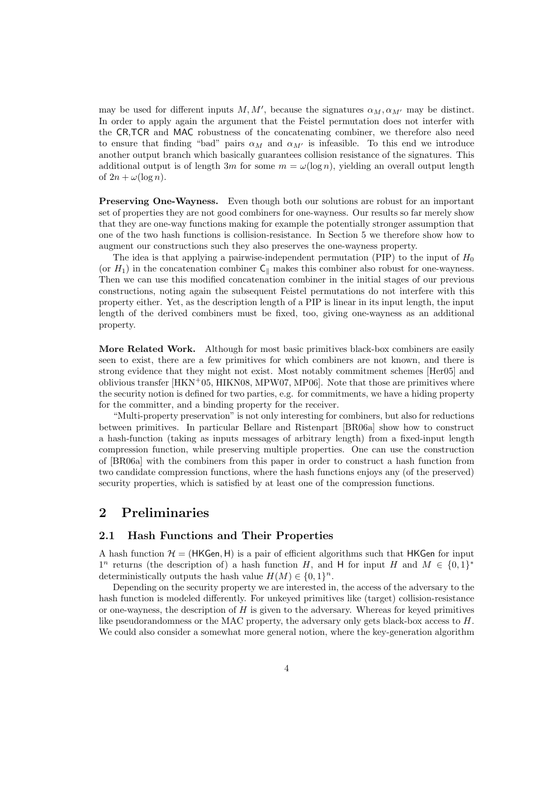may be used for different inputs  $M, M'$ , because the signatures  $\alpha_M, \alpha_{M'}$  may be distinct. In order to apply again the argument that the Feistel permutation does not interfer with the CR,TCR and MAC robustness of the concatenating combiner, we therefore also need to ensure that finding "bad" pairs  $\alpha_M$  and  $\alpha_{M'}$  is infeasible. To this end we introduce another output branch which basically guarantees collision resistance of the signatures. This additional output is of length 3m for some  $m = \omega(\log n)$ , yielding an overall output length of  $2n + \omega(\log n)$ .

Preserving One-Wayness. Even though both our solutions are robust for an important set of properties they are not good combiners for one-wayness. Our results so far merely show that they are one-way functions making for example the potentially stronger assumption that one of the two hash functions is collision-resistance. In Section 5 we therefore show how to augment our constructions such they also preserves the one-wayness property.

The idea is that applying a pairwise-independent permutation (PIP) to the input of  $H_0$ (or  $H_1$ ) in the concatenation combiner  $C_{\parallel}$  makes this combiner also robust for one-wayness. Then we can use this modified concatenation combiner in the initial stages of our previous constructions, noting again the subsequent Feistel permutations do not interfere with this property either. Yet, as the description length of a PIP is linear in its input length, the input length of the derived combiners must be fixed, too, giving one-wayness as an additional property.

More Related Work. Although for most basic primitives black-box combiners are easily seen to exist, there are a few primitives for which combiners are not known, and there is strong evidence that they might not exist. Most notably commitment schemes [Her05] and oblivious transfer  $[HKN+05, HIKN08, MPW07, MP06]$ . Note that those are primitives where the security notion is defined for two parties, e.g. for commitments, we have a hiding property for the committer, and a binding property for the receiver.

"Multi-property preservation" is not only interesting for combiners, but also for reductions between primitives. In particular Bellare and Ristenpart [BR06a] show how to construct a hash-function (taking as inputs messages of arbitrary length) from a fixed-input length compression function, while preserving multiple properties. One can use the construction of [BR06a] with the combiners from this paper in order to construct a hash function from two candidate compression functions, where the hash functions enjoys any (of the preserved) security properties, which is satisfied by at least one of the compression functions.

### 2 Preliminaries

#### 2.1 Hash Functions and Their Properties

A hash function  $H = (HKGen, H)$  is a pair of efficient algorithms such that HKGen for input  $1^n$  returns (the description of) a hash function H, and H for input H and  $M \in \{0,1\}^*$ deterministically outputs the hash value  $H(M) \in \{0,1\}^n$ .

Depending on the security property we are interested in, the access of the adversary to the hash function is modeled differently. For unkeyed primitives like (target) collision-resistance or one-wayness, the description of  $H$  is given to the adversary. Whereas for keyed primitives like pseudorandomness or the MAC property, the adversary only gets black-box access to H. We could also consider a somewhat more general notion, where the key-generation algorithm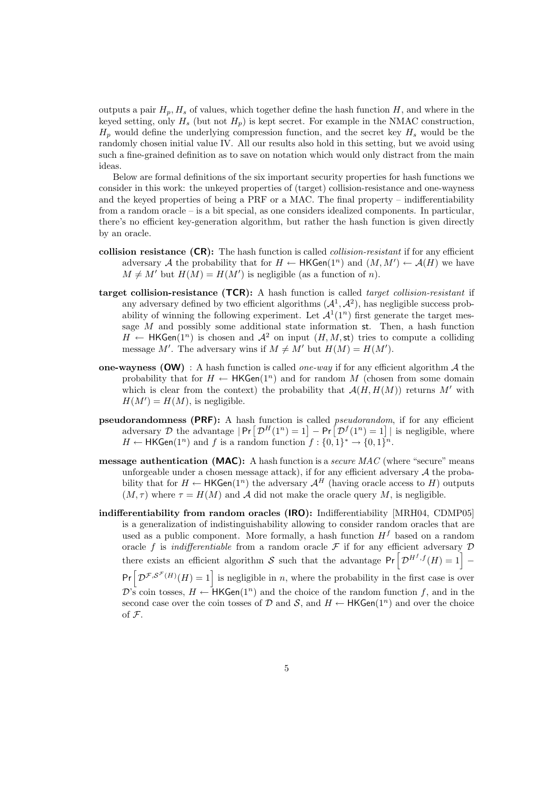outputs a pair  $H_p, H_s$  of values, which together define the hash function H, and where in the keyed setting, only  $H_s$  (but not  $H_p$ ) is kept secret. For example in the NMAC construction,  $H_p$  would define the underlying compression function, and the secret key  $H_s$  would be the randomly chosen initial value IV. All our results also hold in this setting, but we avoid using such a fine-grained definition as to save on notation which would only distract from the main ideas.

Below are formal definitions of the six important security properties for hash functions we consider in this work: the unkeyed properties of (target) collision-resistance and one-wayness and the keyed properties of being a PRF or a MAC. The final property – indifferentiability from a random oracle – is a bit special, as one considers idealized components. In particular, there's no efficient key-generation algorithm, but rather the hash function is given directly by an oracle.

- collision resistance  $(CR)$ : The hash function is called *collision-resistant* if for any efficient adversary A the probability that for  $H \leftarrow \mathsf{HKGen}(1^n)$  and  $(M, M') \leftarrow \mathcal{A}(H)$  we have  $M \neq M'$  but  $H(M) = H(M')$  is negligible (as a function of n).
- target collision-resistance (TCR): A hash function is called target collision-resistant if any adversary defined by two efficient algorithms  $(A^1, A^2)$ , has negligible success probability of winning the following experiment. Let  $\mathcal{A}^1(1^n)$  first generate the target message  $M$  and possibly some additional state information st. Then, a hash function  $H \leftarrow \mathsf{HKGen}(1^n)$  is chosen and  $\mathcal{A}^2$  on input  $(H, M, \mathsf{st})$  tries to compute a colliding message M'. The adversary wins if  $M \neq M'$  but  $H(M) = H(M')$ .
- one-wayness (OW) : A hash function is called *one-way* if for any efficient algorithm  $\mathcal A$  the probability that for  $H \leftarrow \mathsf{HKGen}(1^n)$  and for random M (chosen from some domain which is clear from the context) the probability that  $\mathcal{A}(H,H(M))$  returns M' with  $H(M') = H(M)$ , is negligible.
- pseudorandomness (PRF): A hash function is called pseudorandom, if for any efficient adversary D the advantage  $|\Pr[\mathcal{D}^H(1^n) = 1] - \Pr[\mathcal{D}^f(1^n) = 1]|$  is negligible, where  $H \leftarrow \mathsf{HKGen}(1^n)$  and f is a random function  $f: \{0,1\}^* \rightarrow \{0,1\}^n$ .
- **message authentication (MAC):** A hash function is a *secure MAC* (where "secure" means unforgeable under a chosen message attack), if for any efficient adversary  $A$  the probability that for  $H \leftarrow HKGen(1^n)$  the adversary  $\mathcal{A}^H$  (having oracle access to H) outputs  $(M, \tau)$  where  $\tau = H(M)$  and A did not make the oracle query M, is negligible.
- indifferentiability from random oracles (IRO): Indifferentiability [MRH04, CDMP05] is a generalization of indistinguishability allowing to consider random oracles that are used as a public component. More formally, a hash function  $H^f$  based on a random oracle f is *indifferentiable* from a random oracle  $\mathcal F$  if for any efficient adversary  $\mathcal D$ there exists an efficient algorithm S such that the advantage  $Pr\left[\mathcal{D}^{H^f,f}(H)=1\right]$  –  $Pr\left[\mathcal{D}^{\mathcal{F},\mathcal{S}^{\mathcal{F}}(H)}(H)=1\right]$  is negligible in n, where the probability in the first case is over  $\mathcal{D}$ 's coin tosses,  $H \leftarrow HKGen(1^n)$  and the choice of the random function f, and in the second case over the coin tosses of D and S, and  $H \leftarrow \mathsf{HKGen}(1^n)$  and over the choice of F.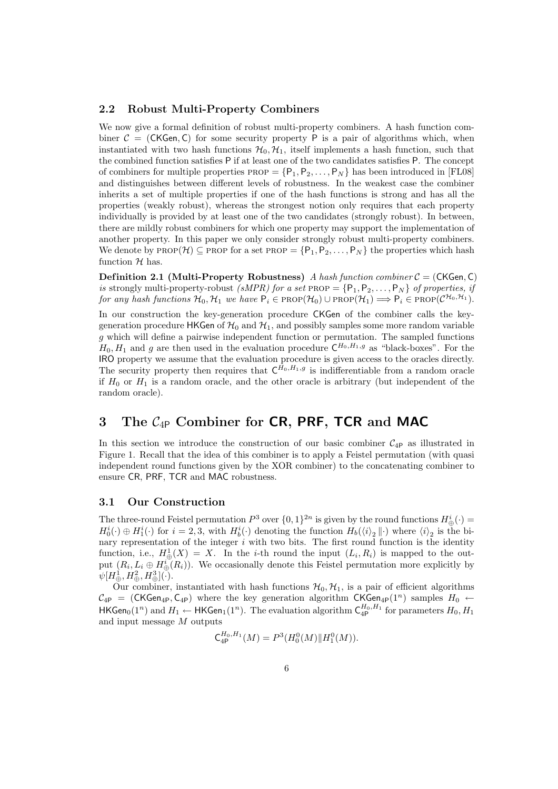### 2.2 Robust Multi-Property Combiners

We now give a formal definition of robust multi-property combiners. A hash function combiner  $C = (CKGen, C)$  for some security property P is a pair of algorithms which, when instantiated with two hash functions  $\mathcal{H}_0$ ,  $\mathcal{H}_1$ , itself implements a hash function, such that the combined function satisfies P if at least one of the two candidates satisfies P. The concept of combiners for multiple properties  $PROP = {P_1, P_2, \ldots, P_N}$  has been introduced in [FL08] and distinguishes between different levels of robustness. In the weakest case the combiner inherits a set of multiple properties if one of the hash functions is strong and has all the properties (weakly robust), whereas the strongest notion only requires that each property individually is provided by at least one of the two candidates (strongly robust). In between, there are mildly robust combiners for which one property may support the implementation of another property. In this paper we only consider strongly robust multi-property combiners. We denote by PROP( $\mathcal{H}$ )  $\subseteq$  PROP for a set PROP = { $P_1, P_2, \ldots, P_N$ } the properties which hash function  $H$  has.

**Definition 2.1 (Multi-Property Robustness)** A hash function combiner  $C = (CKGen, C)$ is strongly multi-property-robust (sMPR) for a set PROP =  $\{P_1, P_2, \ldots, P_N\}$  of properties, if for any hash functions  $\mathcal{H}_0$ ,  $\mathcal{H}_1$  we have  $P_i \in \text{PROP}(\mathcal{H}_0) \cup \text{PROP}(\mathcal{H}_1) \Longrightarrow P_i \in \text{PROP}(\mathcal{C}^{\mathcal{H}_0, \mathcal{H}_1})$ .

In our construction the key-generation procedure CKGen of the combiner calls the keygeneration procedure HKGen of  $\mathcal{H}_0$  and  $\mathcal{H}_1$ , and possibly samples some more random variable g which will define a pairwise independent function or permutation. The sampled functions  $H_0, H_1$  and g are then used in the evaluation procedure  $\mathsf{C}^{H_0, H_1, g}$  as "black-boxes". For the IRO property we assume that the evaluation procedure is given access to the oracles directly. The security property then requires that  $C^{H_0,H_1,g}$  is indifferentiable from a random oracle if  $H_0$  or  $H_1$  is a random oracle, and the other oracle is arbitrary (but independent of the random oracle).

# 3 The  $C_{4P}$  Combiner for CR, PRF, TCR and MAC

In this section we introduce the construction of our basic combiner  $C_{4P}$  as illustrated in Figure 1. Recall that the idea of this combiner is to apply a Feistel permutation (with quasi independent round functions given by the XOR combiner) to the concatenating combiner to ensure CR, PRF, TCR and MAC robustness.

#### 3.1 Our Construction

The three-round Feistel permutation  $P^3$  over  $\{0,1\}^{2n}$  is given by the round functions  $H^i_{\oplus}(\cdot)$  =  $H_0^i(\cdot) \oplus H_1^i(\cdot)$  for  $i = 2, 3$ , with  $H_b^i(\cdot)$  denoting the function  $H_b(\langle i \rangle_2 || \cdot)$  where  $\langle i \rangle_2$  is the binary representation of the integer  $i$  with two bits. The first round function is the identity function, i.e.,  $H^1_{\oplus}(X) = X$ . In the *i*-th round the input  $(L_i, R_i)$  is mapped to the output  $(R_i, L_i \oplus H_{\oplus}^i(R_i))$ . We occasionally denote this Feistel permutation more explicitly by  $\psi[H^1_{\oplus},H^2_{\oplus},H^3_{\oplus}](\cdot).$ 

Our combiner, instantiated with hash functions  $\mathcal{H}_0$ ,  $\mathcal{H}_1$ , is a pair of efficient algorithms  $C_{4P}$  = (CKGen<sub>4P</sub>, C<sub>4P</sub>) where the key generation algorithm CKGen<sub>4P</sub>(1<sup>n</sup>) samples  $H_0 \leftarrow$  $\mathsf{HKGen}_0(1^n)$  and  $H_1 \leftarrow \mathsf{HKGen}_1(1^n).$  The evaluation algorithm  $\mathsf{C}^{H_0,H_1}_{\mathrm{4P}}$  for parameters  $H_0,H_1$ and input message M outputs

$$
C_{4P}^{H_0,H_1}(M) = P^3(H_0^0(M)||H_1^0(M)).
$$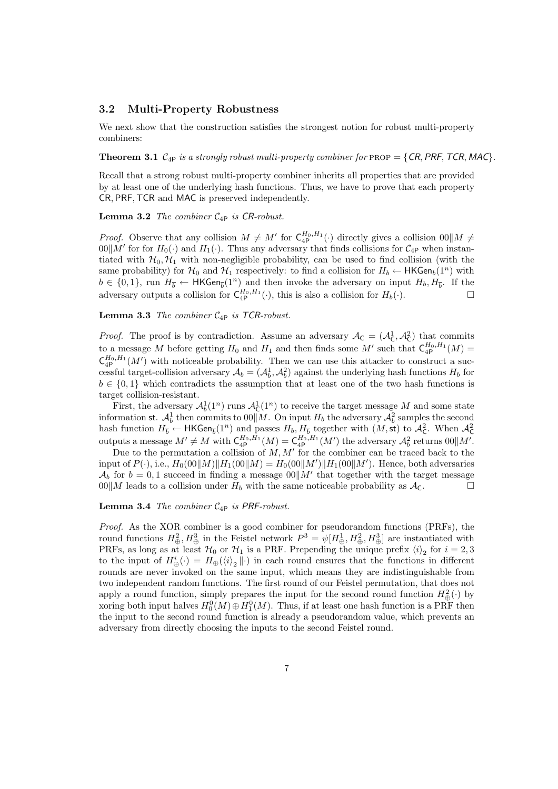### 3.2 Multi-Property Robustness

We next show that the construction satisfies the strongest notion for robust multi-property combiners:

**Theorem 3.1**  $C_{4P}$  is a strongly robust multi-property combiner for PROP = {CR, PRF, TCR, MAC}.

Recall that a strong robust multi-property combiner inherits all properties that are provided by at least one of the underlying hash functions. Thus, we have to prove that each property CR, PRF, TCR and MAC is preserved independently.

**Lemma 3.2** The combiner  $C_{4P}$  is CR-robust.

*Proof.* Observe that any collision  $M \neq M'$  for  $C_{4P}^{H_0,H_1}(\cdot)$  directly gives a collision  $00\|M \neq$  $00\|M'$  for for  $H_0(\cdot)$  and  $H_1(\cdot)$ . Thus any adversary that finds collisions for  $\mathcal{C}_{4P}$  when instantiated with  $\mathcal{H}_0$ ,  $\mathcal{H}_1$  with non-negligible probability, can be used to find collision (with the same probability) for  $\mathcal{H}_0$  and  $\mathcal{H}_1$  respectively: to find a collision for  $H_b \leftarrow \textsf{HKGen}_b(1^n)$  with  $b \in \{0,1\}$ , run  $H_{\overline{b}} \leftarrow \mathsf{HKGen}_{\overline{b}}(1^n)$  and then invoke the adversary on input  $H_b, H_{\overline{b}}$ . If the adversary outputs a collision for  $C_{4P}^{H_0,H_1}(\cdot)$ , this is also a collision for  $H_b(\cdot)$ .

**Lemma 3.3** The combiner  $C_{4P}$  is TCR-robust.

*Proof.* The proof is by contradiction. Assume an adversary  $A_C = (A_C^1, A_C^2)$  that commits to a message M before getting  $H_0$  and  $H_1$  and then finds some M' such that  $\zeta_{4}^{H_0,H_1}(M)$  =  $\mathsf{C}^{H_0,H_1}_{4\mathsf{P}}(M')$  with noticeable probability. Then we can use this attacker to construct a successful target-collision adversary  $A_b = (A_b^1, A_b^2)$  against the underlying hash functions  $H_b$  for  $b \in \{0,1\}$  which contradicts the assumption that at least one of the two hash functions is target collision-resistant.

First, the adversary  $\mathcal{A}_b^1(1^n)$  runs  $\mathcal{A}_\mathsf{C}^1(1^n)$  to receive the target message M and some state First, the adversary  $A_b^1(1)$  runs  $A_c^1(1)$  to receive the target message M and some state<br>information st.  $A_b^1$  then commits to  $00 \parallel M$ . On input  $H_b$  the adversary  $A_b^2$  samples the second hash function  $H_{\overline{b}} \leftarrow \mathsf{HKGen}_{\overline{b}}(1^n)$  and passes  $H_b, H_{\overline{b}}$  together with  $(M, \mathsf{st})$  to  $\mathcal{A}_{\mathsf{C}}^2$ . When  $\mathcal{A}_{\mathsf{C}}^2$  outputs a message  $M' \neq M$  with  $\mathsf{C}_{\mathsf{4P}}^{H_0, H_1}(M) = \mathsf{C}_{\mathsf{4P}}^{H_0, H_1}(M')$ 

Due to the permutation a collision of  $M, M'$  for the combiner can be traced back to the input of  $P(\cdot)$ , i.e.,  $H_0(00||M)||H_1(00||M) = H_0(00||M')||H_1(00||M')$ . Hence, both adversaries  $\mathcal{A}_b$  for  $b = 0, 1$  succeed in finding a message  $00||M'$  that together with the target message  $00\|M$  leads to a collision under  $H_b$  with the same noticeable probability as  $\mathcal{A}_c$ .

**Lemma 3.4** The combiner  $C_{4P}$  is PRF-robust.

Proof. As the XOR combiner is a good combiner for pseudorandom functions (PRFs), the round functions  $H^2_{\oplus}$ ,  $H^3_{\oplus}$  in the Feistel network  $P^3 = \psi[H^1_{\oplus}, H^2_{\oplus}, H^3_{\oplus}]$  are instantiated with PRFs, as long as at least  $H_0$  or  $H_1$  is a PRF. Prepending the unique prefix  $\langle i \rangle_2$  for  $i = 2, 3$ to the input of  $H_{\oplus}^i(\cdot) = H_{\oplus}(\langle i \rangle_2 || \cdot)$  in each round ensures that the functions in different rounds are never invoked on the same input, which means they are indistinguishable from two independent random functions. The first round of our Feistel permutation, that does not apply a round function, simply prepares the input for the second round function  $H^2_{\oplus}(\cdot)$  by xoring both input halves  $H_0^0(M) \oplus H_1^0(M)$ . Thus, if at least one hash function is a PRF then the input to the second round function is already a pseudorandom value, which prevents an adversary from directly choosing the inputs to the second Feistel round.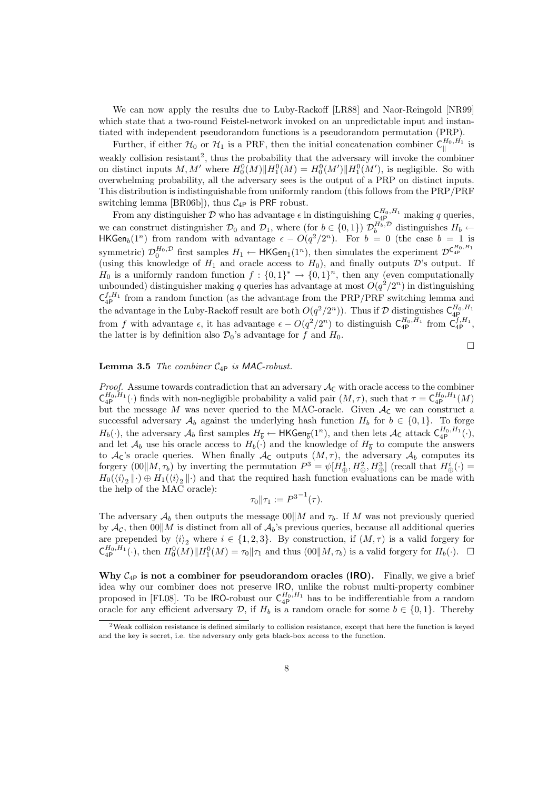We can now apply the results due to Luby-Rackoff [LR88] and Naor-Reingold [NR99] which state that a two-round Feistel-network invoked on an unpredictable input and instantiated with independent pseudorandom functions is a pseudorandom permutation (PRP).

Further, if either  $\mathcal{H}_0$  or  $\mathcal{H}_1$  is a PRF, then the initial concatenation combiner  $\zeta_{\parallel}^{H_0,H_1}$  $\mathbb{S}^{n_0,n_1}$  is weakly collision resistant<sup>2</sup>, thus the probability that the adversary will invoke the combiner on distinct inputs M, M' where  $H_0^0(M)$   $\|H_1^0(M) = H_0^0(M')$   $\|H_1^0(M')$ , is negligible. So with overwhelming probability, all the adversary sees is the output of a PRP on distinct inputs. This distribution is indistinguishable from uniformly random (this follows from the PRP/PRF switching lemma [BR06b]), thus  $C_{4P}$  is PRF robust.

From any distinguisher D who has advantage  $\epsilon$  in distinguishing  $C_{4P_{-}}^{H_0,H_1}$  making q queries, we can construct distinguisher  $\mathcal{D}_0$  and  $\mathcal{D}_1$ , where (for  $b \in \{0,1\}$ )  $\mathcal{D}_b^{H_b,\mathcal{D}}$  distinguishes  $H_b \leftarrow$ HKGen<sub>b</sub>(1<sup>n</sup>) from random with advantage  $\epsilon - O(q^2/2^n)$ . For  $b = 0$  (the case  $b = 1$  is symmetric)  $\mathcal{D}_0^{H_0,\mathcal{D}}$  first samples  $H_1 \leftarrow \mathsf{HKGen}_1(1^n)$ , then simulates the experiment  $\mathcal{D}^{\mathsf{C}_{4p}^{H_0,H_1}}$ (using this knowledge of  $H_1$  and oracle access to  $H_0$ ), and finally outputs  $\mathcal{D}$ 's output. If  $H_0$  is a uniformly random function  $f: \{0,1\}^* \to \{0,1\}^n$ , then any (even computationally unbounded) distinguisher making q queries has advantage at most  $O(q^2/2^n)$  in distinguishing  $C_{4P}^{f,H_1}$  from a random function (as the advantage from the PRP/PRF switching lemma and the advantage in the Luby-Rackoff result are both  $O(q^2/2^n)$ ). Thus if  $\mathcal D$  distinguishes  $\mathsf C^{H_0,H_1}_{4\mathsf P}$ from f with advantage  $\epsilon$ , it has advantage  $\epsilon - O(q^2/2^n)$  to distinguish  $\zeta_{4P}^{H_0,H_1}$  from  $\zeta_{4P}^{f,H_1}$ , the latter is by definition also  $\mathcal{D}_0$ 's advantage for f and  $H_0$ .

$$
\Box
$$

#### **Lemma 3.5** The combiner  $C_{4P}$  is MAC-robust.

*Proof.* Assume towards contradiction that an adversary  $A<sub>C</sub>$  with oracle access to the combiner  $\mathsf{C}_{4\mathsf{P}}^{H_0,H_1}(\cdot)$  finds with non-negligible probability a valid pair  $(M,\tau)$ , such that  $\tau=\mathsf{C}_{4\mathsf{P}}^{H_0,H_1}(M)$ but the message M was never queried to the MAC-oracle. Given  $A<sub>C</sub>$  we can construct a successful adversary  $\mathcal{A}_b$  against the underlying hash function  $H_b$  for  $b \in \{0,1\}$ . To forge  $H_b(\cdot)$ , the adversary  $\mathcal{A}_b$  first samples  $H_{\overline{b}} \leftarrow \mathsf{HKGen}_{\overline{b}}(1^n)$ , and then lets  $\mathcal{A}_{\mathsf{C}}$  attack  $\mathsf{C}_{4\mathsf{P}}^{H_0, H_1}(\cdot)$ , and let  $\mathcal{A}_b$  use his oracle access to  $H_b(\cdot)$  and the knowledge of  $H_{\overline{b}}$  to compute the answers to  $\mathcal{A}_{\mathsf{C}}$ 's oracle queries. When finally  $\mathcal{A}_{\mathsf{C}}$  outputs  $(M,\tau)$ , the adversary  $\mathcal{A}_{b}$  computes its forgery  $(00||M, \tau_b)$  by inverting the permutation  $P^3 = \psi[H^1_{\oplus}, H^2_{\oplus}, H^3_{\oplus}]$  (recall that  $H^i_{\oplus}(\cdot) =$  $H_0(\langle i \rangle_2 | \cdot) \oplus H_1(\langle i \rangle_2 | \cdot)$  and that the required hash function evaluations can be made with the help of the MAC oracle):

$$
\tau_0 \| \tau_1 := P^{3^{-1}}(\tau).
$$

The adversary  $\mathcal{A}_b$  then outputs the message  $00||M$  and  $\tau_b$ . If M was not previously queried by  $\mathcal{A}_{\mathcal{C}}$ , then  $00||M$  is distinct from all of  $\mathcal{A}_{b}$ 's previous queries, because all additional queries are prepended by  $\langle i \rangle_2$  where  $i \in \{1, 2, 3\}$ . By construction, if  $(M, \tau)$  is a valid forgery for  $\mathsf{C}^{H_0,H_1}_{4\mathsf{P}}(\cdot)$ , then  $H_0^0(M)\|H_1^0(M)=\tau_0\|\tau_1$  and thus  $(00\|M,\tau_b)$  is a valid forgery for  $H_b(\cdot)$ .  $\Box$ 

Why  $C_{4P}$  is not a combiner for pseudorandom oracles (IRO). Finally, we give a brief idea why our combiner does not preserve IRO, unlike the robust multi-property combiner proposed in [FL08]. To be **IRO-robust** our  $C_{4P}^{H_0,H_1}$  has to be indifferentiable from a random oracle for any efficient adversary  $\mathcal{D}$ , if  $H_b$  is a random oracle for some  $b \in \{0,1\}$ . Thereby

<sup>2</sup>Weak collision resistance is defined similarly to collision resistance, except that here the function is keyed and the key is secret, i.e. the adversary only gets black-box access to the function.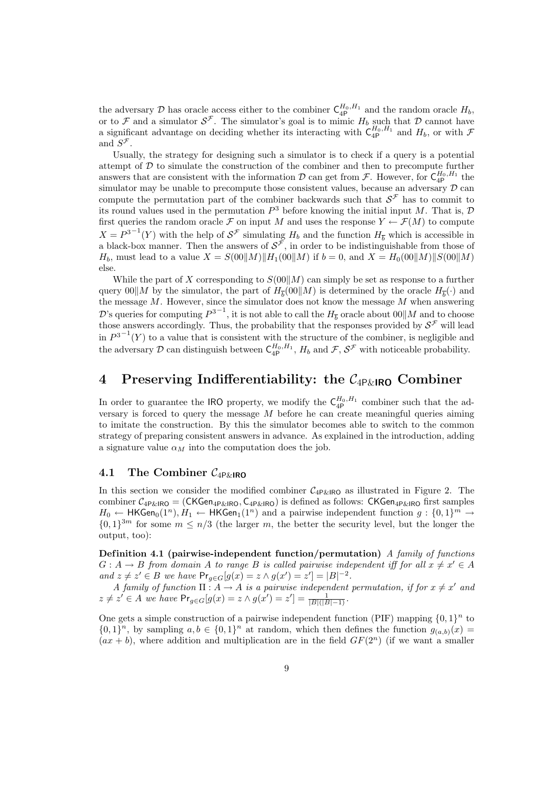the adversary D has oracle access either to the combiner  $\zeta_{4\text{P}}^{H_0,H_1}$  and the random oracle  $H_b$ , or to F and a simulator  $S^{\mathcal{F}}$ . The simulator's goal is to mimic  $H_b$  such that D cannot have a significant advantage on deciding whether its interacting with  $\zeta_{4p}^{H_0,H_1}$  and  $H_b$ , or with  $\mathcal{F}$ and  $S^{\mathcal{F}}$ .

Usually, the strategy for designing such a simulator is to check if a query is a potential attempt of  $D$  to simulate the construction of the combiner and then to precompute further answers that are consistent with the information  $\mathcal D$  can get from  $\mathcal F$ . However, for  $C_{4P}^{H_0,H_1}$  the simulator may be unable to precompute those consistent values, because an adversary  $D$  can compute the permutation part of the combiner backwards such that  $\mathcal{S}^{\mathcal{F}}$  has to commit to its round values used in the permutation  $P^3$  before knowing the initial input M. That is,  $D$ first queries the random oracle F on input M and uses the response  $Y \leftarrow \mathcal{F}(M)$  to compute  $X = P^{3-1}(Y)$  with the help of  $S^{\mathcal{F}}$  simulating  $H_b$  and the function  $H_{\overline{b}}$  which is accessible in a black-box manner. Then the answers of  $\mathcal{S}^{\mathcal{F}}$ , in order to be indistinguishable from those of  $H_b$ , must lead to a value  $X = S(00||M)||H_1(00||M)$  if  $b = 0$ , and  $X = H_0(00||M)||S(00||M)$ else.

While the part of X corresponding to  $S(00||M)$  can simply be set as response to a further query  $00\|M$  by the simulator, the part of  $H_{\overline{b}}(00\|M)$  is determined by the oracle  $H_{\overline{b}}(\cdot)$  and the message  $M$ . However, since the simulator does not know the message  $M$  when answering D's queries for computing  $P^{3-1}$ , it is not able to call the  $H_{\overline{b}}$  oracle about  $00||M$  and to choose those answers accordingly. Thus, the probability that the responses provided by  $\mathcal{S}^{\mathcal{F}}$  will lead in  $P^{3-1}(Y)$  to a value that is consistent with the structure of the combiner, is negligible and the adversary D can distinguish between  $C_{4P}^{H_0,H_1}$ ,  $H_b$  and  $\mathcal{F}, \mathcal{S}^{\mathcal{F}}$  with noticeable probability.

# 4 Preserving Indifferentiability: the  $C_{4P\&1RQ}$  Combiner

In order to guarantee the IRO property, we modify the  $\zeta_{4}^{H_0,H_1}$  combiner such that the adversary is forced to query the message  $M$  before he can create meaningful queries aiming to imitate the construction. By this the simulator becomes able to switch to the common strategy of preparing consistent answers in advance. As explained in the introduction, adding a signature value  $\alpha_M$  into the computation does the job.

### 4.1 The Combiner  $C_{4P\&\mathsf{IRO}}$

In this section we consider the modified combiner  $C_{4P\&1RO}$  as illustrated in Figure 2. The combiner  $C_{4P\&R}$   $=$  (CKGen<sub>4P&IRO</sub>, C<sub>4P&IRO</sub>) is defined as follows: CKGen<sub>4P&IRO</sub> first samples  $H_0 \leftarrow \mathsf{HKGen}_0(1^n), H_1 \leftarrow \mathsf{HKGen}_1(1^n) \text{ and a pairwise independent function } g: \{0,1\}^m \rightarrow$  $\{0,1\}^{3m}$  for some  $m \leq n/3$  (the larger m, the better the security level, but the longer the output, too):

Definition 4.1 (pairwise-independent function/permutation) A family of functions  $G: A \to B$  from domain A to range B is called pairwise independent iff for all  $x \neq x' \in A$ and  $z \neq z' \in B$  we have  $Pr_{g \in G}[g(x) = z \land g(x') = z'] = |B|^{-2}$ .

A family of function  $\Pi: A \to A$  is a pairwise independent permutation, if for  $x \neq x'$  and  $z \neq z' \in A$  we have  $Pr_{g \in G}[g(x) = z \land g(x') = z'] = \frac{1}{|B|(|B|-1)}$ .

One gets a simple construction of a pairwise independent function (PIF) mapping  $\{0,1\}^n$  to  $\{0,1\}^n$ , by sampling  $a,b \in \{0,1\}^n$  at random, which then defines the function  $g_{(a,b)}(x) =$  $(ax + b)$ , where addition and multiplication are in the field  $GF(2<sup>n</sup>)$  (if we want a smaller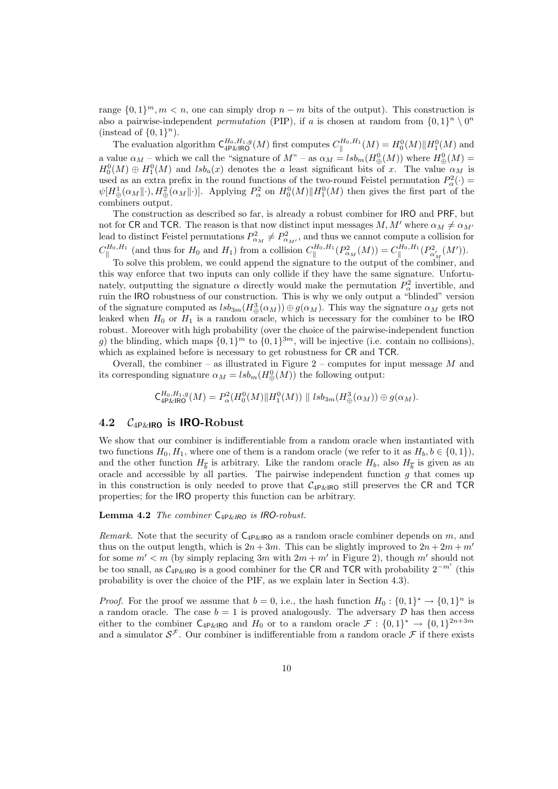range  $\{0,1\}^m, m < n$ , one can simply drop  $n - m$  bits of the output). This construction is also a pairwise-independent *permutation* (PIP), if a is chosen at random from  $\{0,1\}^n \setminus 0^n$ (instead of  $\{0,1\}^n$ ).

The evaluation algorithm  $\mathsf{C}^{H_0,H_1,g}_{4\mathsf{P\&R}\mathsf{O}}(M)$  first computes  $C^{H_0,H_1}_{\parallel}$  $\mathcal{H}^{H_0,H_1}_\parallel(M)=H_0^0(M)\|H_1^0(M)\text{ and }$ a value  $\alpha_M$  – which we call the "signature of  $M^*$  – as  $\alpha_M = lsb_m(H^0_{\bigoplus}(M))$  where  $H^0_{\bigoplus}(M)$  =  $H_0^0(M) \oplus H_1^0(M)$  and  $lsh_a(x)$  denotes the a least significant bits of x. The value  $\alpha_M$  is used as an extra prefix in the round functions of the two-round Feistel permutation  $P^2_\alpha(\cdot)$  =  $\psi[H^1_{\oplus}(\alpha_M\|\cdot),H^2_{\oplus}(\alpha_M\|\cdot)].$  Applying  $P^2_{\alpha}$  on  $H^0_0(M)\|H^0_1(M)$  then gives the first part of the combiners output.

The construction as described so far, is already a robust combiner for IRO and PRF, but not for CR and TCR. The reason is that now distinct input messages M, M' where  $\alpha_M \neq \alpha_{M'}$ lead to distinct Feistel permutations  $P_{\alpha_M}^2 \neq P_{\alpha_{M'}}^2$ , and thus we cannot compute a collision for  $C^{H_0,H_1}_{\parallel}$  $\mathbb{H}_0, H_1$  (and thus for  $H_0$  and  $H_1$ ) from a collision  $C_{\parallel}^{H_0, H_1}$  $C_{\parallel}^{H_0,H_1}(P^2_{\alpha_M}(M))=C_{\parallel}^{H_0,H_1}$  $\int_{\parallel}^{H_0,H_1} (P^2_{\alpha'_M}(M')).$ 

To solve this problem, we could append the signature to the output of the combiner, and this way enforce that two inputs can only collide if they have the same signature. Unfortunately, outputting the signature  $\alpha$  directly would make the permutation  $P_{\alpha}^2$  invertible, and ruin the IRO robustness of our construction. This is why we only output a "blinded" version of the signature computed as  $lsb_{3m}(H_{\oplus}^3(\alpha_M)) \oplus g(\alpha_M)$ . This way the signature  $\alpha_M$  gets not leaked when  $H_0$  or  $H_1$  is a random oracle, which is necessary for the combiner to be IRO robust. Moreover with high probability (over the choice of the pairwise-independent function g) the blinding, which maps  $\{0,1\}^m$  to  $\{0,1\}^{3m}$ , will be injective (i.e. contain no collisions), which as explained before is necessary to get robustness for CR and TCR.

Overall, the combiner – as illustrated in Figure  $2$  – computes for input message  $M$  and its corresponding signature  $\alpha_M = lsb_m(H^0_{\oplus}(M))$  the following output:

$$
C_{4\text{P\&RIO}}^{H_0,H_1,g}(M)=P_\alpha^2(H_0^0(M)\|H_1^0(M))\parallel lsb_{3m}(H_\oplus^3(\alpha_M))\oplus g(\alpha_M).
$$

#### 4.2  $C_{4P\&R}$  is IRO-Robust

We show that our combiner is indifferentiable from a random oracle when instantiated with two functions  $H_0, H_1$ , where one of them is a random oracle (we refer to it as  $H_b, b \in \{0, 1\}$ ), and the other function  $H_{\overline{b}}$  is arbitrary. Like the random oracle  $H_b$ , also  $H_{\overline{b}}$  is given as an oracle and accessible by all parties. The pairwise independent function  $g$  that comes up in this construction is only needed to prove that  $C_{4P\&1R0}$  still preserves the CR and TCR properties; for the IRO property this function can be arbitrary.

#### **Lemma 4.2** The combiner  $C_{4P\&IRO}$  is IRO-robust.

Remark. Note that the security of  $C_{4P\&R}$  as a random oracle combiner depends on m, and thus on the output length, which is  $2n + 3m$ . This can be slightly improved to  $2n + 2m + m'$ for some  $m' < m$  (by simply replacing  $3m$  with  $2m + m'$  in Figure 2), though m' should not be too small, as  $\mathcal{C}_{4P\&1RQ}$  is a good combiner for the CR and TCR with probability  $2^{-m'}$  (this probability is over the choice of the PIF, as we explain later in Section 4.3).

*Proof.* For the proof we assume that  $b = 0$ , i.e., the hash function  $H_0: \{0,1\}^* \to \{0,1\}^n$  is a random oracle. The case  $b = 1$  is proved analogously. The adversary  $D$  has then access either to the combiner  $C_{4P\&RIO}$  and  $H_0$  or to a random oracle  $\mathcal{F}: \{0,1\}^* \to \{0,1\}^{2n+3m}$ and a simulator  $\mathcal{S}^{\mathcal{F}}$ . Our combiner is indifferentiable from a random oracle  $\mathcal{F}$  if there exists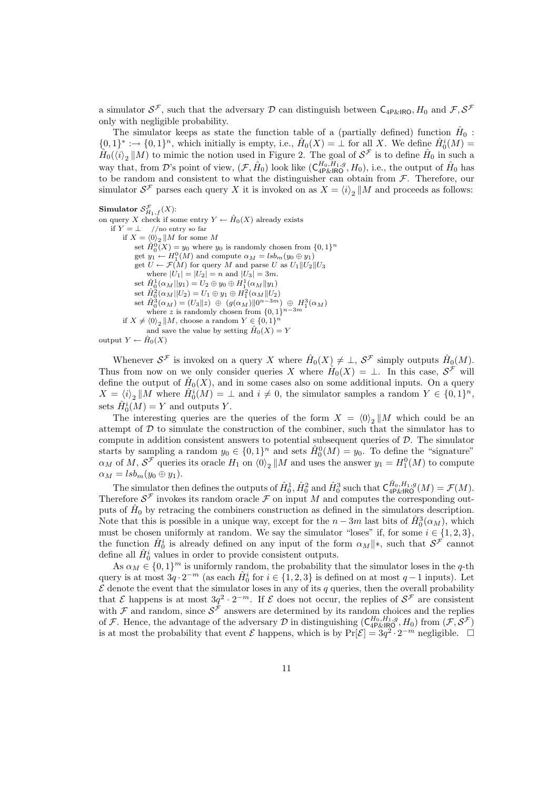a simulator  $S^{\mathcal{F}}$ , such that the adversary  $D$  can distinguish between  $\mathsf{C}_{4P\&1RO}$ ,  $H_0$  and  $\mathcal{F}, S^{\mathcal{F}}$ only with negligible probability.

The simulator keeps as state the function table of a (partially defined) function  $\hat{H}_0$ :  ${0,1}^* : \to {0,1}^n$ , which initially is empty, i.e.,  $\hat{H}_0(X) = \perp$  for all X. We define  $\hat{H}_0^i(M) =$  $\hat{H}_0(\langle i \rangle_2 \parallel M)$  to mimic the notion used in Figure 2. The goal of  $S^{\mathcal{F}}$  is to define  $\hat{H}_0$  in such a way that, from D's point of view,  $(\mathcal{F}, \hat{H}_0)$  look like  $(\mathsf{C}_{4\text{P\&RIO}}^{H_0, H_1, g}, H_0)$ , i.e., the output of  $\hat{H}_0$  has to be random and consistent to what the distinguisher can obtain from  $\mathcal{F}$ . Therefore, our simulator  $S^{\mathcal{F}}$  parses each query X it is invoked on as  $X = \langle i \rangle_2 || M$  and proceeds as follows:

Simulator  $S_{H_1,f}^{\mathcal{F}}(X)$ : on query X check if some entry  $Y \leftarrow \hat{H}_0(X)$  already exists if  $Y = \perp$  //no entry so far if  $X = \langle 0 \rangle_2 || M$  for some M set  $\hat{H}_0^0(X) = y_0$  where  $y_0$  is randomly chosen from  $\{0,1\}^n$ get  $y_1 \leftarrow H_1^0(M)$  and compute  $\alpha_M = lsb_m(y_0 \oplus y_1)$ get  $U \leftarrow \mathcal{F}(M)$  for query M and parse U as  $U_1 || U_2 || U_3$ where  $|U_1| = |U_2| = n$  and  $|U_3| = 3m$ . set  $\hat{H}_0^1(\alpha_M||y_1) = U_2 \oplus y_0 \oplus H_1^1(\alpha_M||y_1)$ <br>set  $\hat{H}_0^2(\alpha_M||U_2) = U_1 \oplus y_1 \oplus H_1^2(\alpha_M||U_2)$ <br>set  $\hat{H}_0^3(\alpha_M) = (U_3||z) \oplus (g(\alpha_M)||0^{n-3m}) \oplus H_1^3(\alpha_M)$ where z is randomly chosen from  $\{0,1\}^{n-3m}$ if  $X \neq \langle 0 \rangle_2 \parallel M$ , choose a random  $Y \in \{0, 1\}$ n and save the value by setting  $\hat{H}_0(X) = Y$ output  $Y \leftarrow \hat{H}_0(X)$ 

Whenever  $\mathcal{S}^{\mathcal{F}}$  is invoked on a query X where  $\hat{H}_0(X) \neq \perp$ ,  $\mathcal{S}^{\mathcal{F}}$  simply outputs  $\hat{H}_0(M)$ . Thus from now on we only consider queries X where  $\hat{H}_0(X) = \perp$ . In this case,  $S^{\mathcal{F}}$  will define the output of  $\hat{H}_0(X)$ , and in some cases also on some additional inputs. On a query  $X = \langle i \rangle_2 \parallel M$  where  $\hat{H}_0^i(M) = \perp$  and  $i \neq 0$ , the simulator samples a random  $Y \in \{0, 1\}^n$ , sets  $\hat{H}_0^i(M) = Y$  and outputs Y.

The interesting queries are the queries of the form  $X = \langle 0 \rangle_2 || M$  which could be an attempt of  $D$  to simulate the construction of the combiner, such that the simulator has to compute in addition consistent answers to potential subsequent queries of D. The simulator starts by sampling a random  $y_0 \in \{0,1\}^n$  and sets  $\hat{H}_0^0(M) = y_0$ . To define the "signature"  $\alpha_M$  of M,  $\mathcal{S}^{\mathcal{F}}$  queries its oracle  $H_1$  on  $\langle 0 \rangle_2 || M$  and uses the answer  $y_1 = H_1^0(M)$  to compute  $\alpha_M = lsb_m(y_0 \oplus y_1).$ 

The simulator then defines the outputs of  $\hat{H}_0^1$ ,  $\hat{H}_0^2$  and  $\hat{H}_0^3$  such that  $C_{4P\&R}^{\hat{H}_0,H_1,g}(M) = \mathcal{F}(M)$ . Therefore  $\mathcal{S}^{\mathcal{F}}$  invokes its random oracle  $\mathcal F$  on input M and computes the corresponding outputs of  $\hat{H}_0$  by retracing the combiners construction as defined in the simulators description. Note that this is possible in a unique way, except for the  $n-3m$  last bits of  $\hat{H}^3_0(\alpha_M)$ , which must be chosen uniformly at random. We say the simulator "loses" if, for some  $i \in \{1, 2, 3\}$ , the function  $\hat{H}_0^i$  is already defined on any input of the form  $\alpha_M || *$ , such that  $S^{\mathcal{F}}$  cannot define all  $\hat{H}_0^i$  values in order to provide consistent outputs.

As  $\alpha_M \in \{0,1\}^m$  is uniformly random, the probability that the simulator loses in the q-th query is at most  $3q \cdot 2^{-m}$  (as each  $\hat{H}_0^i$  for  $i \in \{1, 2, 3\}$  is defined on at most  $q-1$  inputs). Let  $\mathcal E$  denote the event that the simulator loses in any of its q queries, then the overall probability that  $\mathcal E$  happens is at most  $3q^2 \cdot 2^{-m}$ . If  $\mathcal E$  does not occur, the replies of  $\mathcal S^{\mathcal F}$  are consistent with  $\mathcal F$  and random, since  $\mathcal S^{\mathcal F}$  answers are determined by its random choices and the replies of F. Hence, the advantage of the adversary D in distinguishing  $(C_{4P\&RQ}^{H_0,H_1,g},H_0)$  from  $(\mathcal{F},\mathcal{S}^{\mathcal{F}})$ is at most the probability that event  $\mathcal E$  happens, which is by  $Pr[\mathcal E] = 3q^2 \cdot 2^{-m}$  negligible.  $\Box$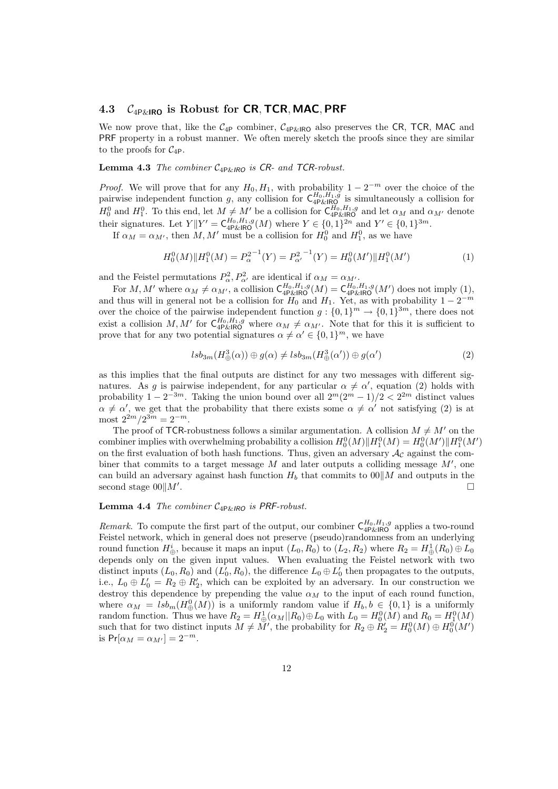### 4.3  $C_{4P\&\text{IRO}}$  is Robust for CR, TCR, MAC, PRF

We now prove that, like the  $C_{4P}$  combiner,  $C_{4P\&1RQ}$  also preserves the CR, TCR, MAC and PRF property in a robust manner. We often merely sketch the proofs since they are similar to the proofs for  $C_{4P}$ .

**Lemma 4.3** The combiner  $C_{4P\&IRO}$  is CR- and TCR-robust.

*Proof.* We will prove that for any  $H_0, H_1$ , with probability  $1 - 2^{-m}$  over the choice of the pairwise independent function g, any collision for  $C_{4P\&RQ}^{H_0,H_1,g}$  is simultaneously a collision for  $H_0^0$  and  $H_1^0$ . To this end, let  $M \neq M'$  be a collision for  $C_{4P\&R}^{H_0,H_1,g}$  and let  $\alpha_M$  and  $\alpha_{M'}$  denote their signatures. Let  $Y||Y' = \mathsf{C}_{4\mathsf{P\&RBO}}^{H_0,H_1,g}(M)$  where  $Y \in \{0,1\}^{2n}$  and  $Y' \in \{0,1\}^{3m}$ .

If  $\alpha_M = \alpha_{M'}$ , then M, M' must be a collision for  $H_0^0$  and  $H_1^0$ , as we have

$$
H_0^0(M)\|H_1^0(M) = P_\alpha^{2^{-1}}(Y) = P_{\alpha'}^{2^{-1}}(Y) = H_0^0(M')\|H_1^0(M')\tag{1}
$$

and the Feistel permutations  $P^2_{\alpha}, P^2_{\alpha'}$  are identical if  $\alpha_M = \alpha_{M'}$ .

For  $M, M'$  where  $\alpha_M \neq \alpha_{M'}$ , a collision  $C_{4P\&R\parallel R\&O}^{H_0, H_1, g}(M) = C_{4P\&R\parallel R\&O}^{H_0, H_1, g}(M')$  does not imply (1), and thus will in general not be a collision for  $H_0$  and  $H_1$ . Yet, as with probability  $1 - 2^{-m}$ over the choice of the pairwise independent function  $g: \{0,1\}^m \to \{0,1\}^{3m}$ , there does not exist a collision M, M' for  $C_{4P\&RIO}^{H_0,H_1,g}$  where  $\alpha_M \neq \alpha_{M'}$ . Note that for this it is sufficient to prove that for any two potential signatures  $\alpha \neq \alpha' \in \{0,1\}^m$ , we have

$$
lsb_{3m}(H_{\oplus}^{3}(\alpha))\oplus g(\alpha) \neq lsb_{3m}(H_{\oplus}^{3}(\alpha'))\oplus g(\alpha')
$$
\n(2)

as this implies that the final outputs are distinct for any two messages with different signatures. As g is pairwise independent, for any particular  $\alpha \neq \alpha'$ , equation (2) holds with probability  $1 - 2^{-3m}$ . Taking the union bound over all  $2^m(2^m - 1)/2 < 2^{2m}$  distinct values  $\alpha \neq \alpha'$ , we get that the probability that there exists some  $\alpha \neq \alpha'$  not satisfying (2) is at most  $2^{2m}/2^{3m} = 2^{-m}$ .

The proof of TCR-robustness follows a similar argumentation. A collision  $M \neq M'$  on the combiner implies with overwhelming probability a collision  $H_0^0(M)$   $\Vert H_1^0(M) = H_0^0(M')$   $\Vert H_1^0(M')$ on the first evaluation of both hash functions. Thus, given an adversary  $A<sub>c</sub>$  against the combiner that commits to a target message  $M$  and later outputs a colliding message  $M'$ , one can build an adversary against hash function  $H_b$  that commits to  $00\|M\|$  and outputs in the second stage  $00||M'$ . .

#### **Lemma 4.4** The combiner  $C_{4P\&IRO}$  is PRF-robust.

*Remark*. To compute the first part of the output, our combiner  $C_{4P\&RIRO}^{H_0,H_1,g}$  applies a two-round Feistel network, which in general does not preserve (pseudo)randomness from an underlying round function  $H^i_{\oplus}$ , because it maps an input  $(L_0, R_0)$  to  $(L_2, R_2)$  where  $R_2 = H^1_{\oplus}(R_0) \oplus L_0$ depends only on the given input values. When evaluating the Feistel network with two distinct inputs  $(L_0, R_0)$  and  $(L'_0, R_0)$ , the difference  $L_0 \oplus L'_0$  then propagates to the outputs, i.e.,  $L_0 \oplus L'_0 = R_2 \oplus R'_2$ , which can be exploited by an adversary. In our construction we destroy this dependence by prepending the value  $\alpha_M$  to the input of each round function, where  $\alpha_M = lsb_m(H^0_{\oplus}(M))$  is a uniformly random value if  $H_b, b \in \{0,1\}$  is a uniformly random function. Thus we have  $R_2 = H^1_{\oplus}(\alpha_M||R_0) \oplus L_0$  with  $L_0 = H^0_0(M)$  and  $R_0 = H^0_1(M)$ such that for two distinct inputs  $M \neq M'$ , the probability for  $R_2 \oplus R'_2 = H_0^0(M) \oplus H_0^0(M')$ is  $Pr[\alpha_M = \alpha_{M'}] = 2^{-m}$ .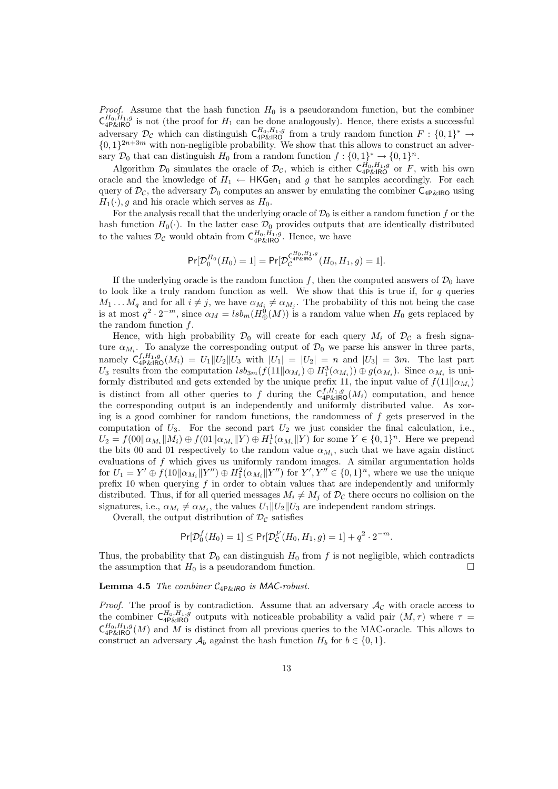*Proof.* Assume that the hash function  $H_0$  is a pseudorandom function, but the combiner  $\mathsf{C}^{H_0,H_1,g}_{4\mathsf{P\&R}|\mathsf{RO}}$  is not (the proof for  $H_1$  can be done analogously). Hence, there exists a successful adversary  $\mathcal{D}_{\mathcal{C}}$  which can distinguish  $C_{4P\&1R0}^{H_0,H_1,g}$  from a truly random function  $F: \{0,1\}^* \to$  $\{0,1\}^{2n+3m}$  with non-negligible probability. We show that this allows to construct an adversary  $\mathcal{D}_0$  that can distinguish  $H_0$  from a random function  $f: \{0,1\}^* \to \{0,1\}^n$ .

Algorithm  $\mathcal{D}_0$  simulates the oracle of  $\mathcal{D}_{\mathcal{C}}$ , which is either  $\mathsf{C}_{4\mathsf{P\&1}\mathsf{R}\mathsf{O}}^{H_0,H_1,g}$  or F, with his own oracle and the knowledge of  $H_1 \leftarrow \text{HKGen}_1$  and g that he samples accordingly. For each query of  $\mathcal{D}_{\mathcal{C}}$ , the adversary  $\mathcal{D}_0$  computes an answer by emulating the combiner  $C_{4P\&R}$  $H_1(\cdot)$ , q and his oracle which serves as  $H_0$ .

For the analysis recall that the underlying oracle of  $\mathcal{D}_0$  is either a random function f or the hash function  $H_0(\cdot)$ . In the latter case  $\mathcal{D}_0$  provides outputs that are identically distributed to the values  $\mathcal{D}_{\mathcal{C}}$  would obtain from  $\mathsf{C}_{4\mathsf{P\&RIC}}^{H_0,H_1,g}$ . Hence, we have

$$
\Pr[\mathcal{D}_0^{H_0}(H_0) = 1] = \Pr[\mathcal{D}_\mathcal{C}^{\mathcal{L}_{4\text{P\&R}}^{H_0, H_1, g}}(H_0, H_1, g) = 1].
$$

If the underlying oracle is the random function f, then the computed answers of  $\mathcal{D}_0$  have to look like a truly random function as well. We show that this is true if, for  $q$  queries  $M_1 \dots M_q$  and for all  $i \neq j$ , we have  $\alpha_{M_i} \neq \alpha_{M_j}$ . The probability of this not being the case is at most  $q^2 \cdot 2^{-m}$ , since  $\alpha_M = lsb_m(H^0_{\oplus}(M))$  is a random value when  $H_0$  gets replaced by the random function f.

Hence, with high probability  $\mathcal{D}_0$  will create for each query  $M_i$  of  $\mathcal{D}_c$  a fresh signature  $\alpha_{M_i}$ . To analyze the corresponding output of  $\mathcal{D}_0$  we parse his answer in three parts, namely  $C_{4P\&R}^{f,H_1,g}(M_i) = U_1||U_2||U_3$  with  $|U_1| = |U_2| = n$  and  $|U_3| = 3m$ . The last part  $U_3$  results from the computation  $lsb_{3m}(f(11||\alpha_{M_i}) \oplus H_1^3(\alpha_{M_i})) \oplus g(\alpha_{M_i})$ . Since  $\alpha_{M_i}$  is uniformly distributed and gets extended by the unique prefix 11, the input value of  $f(11||\alpha_{M_i})$ is distinct from all other queries to f during the  $\mathsf{C}_{4\mathsf{P\&RIO}}^{f,H_1,g}(M_i)$  computation, and hence the corresponding output is an independently and uniformly distributed value. As xoring is a good combiner for random functions, the randomness of  $f$  gets preserved in the computation of  $U_3$ . For the second part  $U_2$  we just consider the final calculation, i.e.,  $U_2 = f(00||\alpha_{M_i}||M_i) \oplus f(01||\alpha_{M_i}||Y) \oplus H_1^1(\alpha_{M_i}||Y)$  for some  $Y \in \{0,1\}^n$ . Here we prepend the bits 00 and 01 respectively to the random value  $\alpha_{M_i}$ , such that we have again distinct evaluations of  $f$  which gives us uniformly random images. A similar argumentation holds for  $U_1 = Y' \oplus f(10||\alpha_{M_i}||Y'') \oplus H_1^2(\alpha_{M_i}||Y'')$  for  $Y', Y'' \in \{0,1\}^n$ , where we use the unique prefix 10 when querying  $f$  in order to obtain values that are independently and uniformly distributed. Thus, if for all queried messages  $M_i \neq M_j$  of  $\mathcal{D}_{\mathcal{C}}$  there occurs no collision on the signatures, i.e.,  $\alpha_{M_i} \neq \alpha_{M_j}$ , the values  $U_1 || U_2 || U_3$  are independent random strings.

Overall, the output distribution of  $\mathcal{D}_{\mathcal{C}}$  satisfies

$$
\Pr[\mathcal{D}_0^f(H_0) = 1] \le \Pr[\mathcal{D}_\mathcal{C}^F(H_0, H_1, g) = 1] + q^2 \cdot 2^{-m}.
$$

Thus, the probability that  $\mathcal{D}_0$  can distinguish  $H_0$  from f is not negligible, which contradicts the assumption that  $H_0$  is a pseudorandom function.

#### **Lemma 4.5** The combiner  $C_{4P\&IRO}$  is MAC-robust.

*Proof.* The proof is by contradiction. Assume that an adversary  $\mathcal{A}_{\mathcal{C}}$  with oracle access to the combiner  $\mathsf{C}_{4\mathsf{P}\&\mathsf{IRO}}^{H_0,H_1,g}$  outputs with noticeable probability a valid pair  $(M,\tau)$  where  $\tau =$  $\mathsf{C}^{H_0,H_1,g}_{4\mathsf{P\&R}\mathsf{O}}(M)$  and M is distinct from all previous queries to the MAC-oracle. This allows to construct an adversary  $\mathcal{A}_b$  against the hash function  $H_b$  for  $b \in \{0, 1\}$ .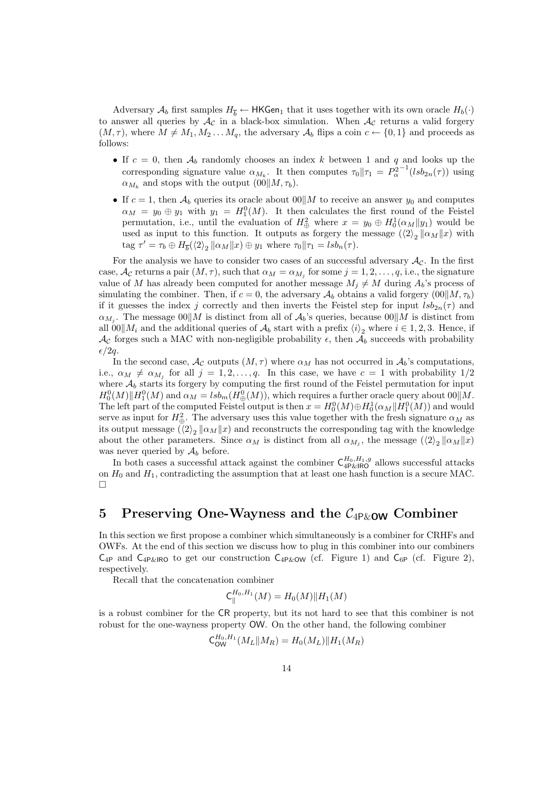Adversary  $\mathcal{A}_b$  first samples  $H_{\overline{b}} \leftarrow$  HKGen<sub>1</sub> that it uses together with its own oracle  $H_b(\cdot)$ to answer all queries by  $\mathcal{A}_{\mathcal{C}}$  in a black-box simulation. When  $\mathcal{A}_{\mathcal{C}}$  returns a valid forgery  $(M, \tau)$ , where  $M \neq M_1, M_2 \ldots M_q$ , the adversary  $\mathcal{A}_b$  flips a coin  $c \leftarrow \{0, 1\}$  and proceeds as follows:

- If  $c = 0$ , then  $\mathcal{A}_b$  randomly chooses an index k between 1 and q and looks up the corresponding signature value  $\alpha_{M_k}$ . It then computes  $\tau_0\|\tau_1 = P_\alpha^{2^{-1}}(lsb_{2n}(\tau))$  using  $\alpha_{M_k}$  and stops with the output  $(00||M, \tau_b)$ .
- If  $c = 1$ , then  $\mathcal{A}_b$  queries its oracle about  $0 \parallel M$  to receive an answer  $y_0$  and computes  $\alpha_M = y_0 \oplus y_1$  with  $y_1 = H_1^0(M)$ . It then calculates the first round of the Feistel permutation, i.e., until the evaluation of  $H^2_{\oplus}$  where  $x = y_0 \oplus H^1_0(\alpha_M||y_1)$  would be used as input to this function. It outputs as forgery the message  $(\langle 2 \rangle_2 || \alpha_M || x)$  with tag  $\tau' = \tau_b \oplus H_{\overline{b}}(\langle 2 \rangle_2 || \alpha_M || x) \oplus y_1$  where  $\tau_0 || \tau_1 = l s b_n(\tau)$ .

For the analysis we have to consider two cases of an successful adversary  $A_{\mathcal{C}}$ . In the first case,  $\mathcal{A}_{\mathcal{C}}$  returns a pair  $(M, \tau)$ , such that  $\alpha_M = \alpha_{M_j}$  for some  $j = 1, 2, \ldots, q$ , i.e., the signature value of M has already been computed for another message  $M_i \neq M$  during  $A_b$ 's process of simulating the combiner. Then, if  $c = 0$ , the adversary  $\mathcal{A}_b$  obtains a valid forgery  $(00||M, \tau_b)$ if it guesses the index j correctly and then inverts the Feistel step for input  $lsb_{2n}(\tau)$  and  $\alpha_{M_j}$ . The message  $00||M$  is distinct from all of  $\mathcal{A}_b$ 's queries, because  $00||M$  is distinct from all 00 $\|M_i\|$  and the additional queries of  $\mathcal{A}_b$  start with a prefix  $\langle i \rangle_2$  where  $i \in 1, 2, 3$ . Hence, if  $\mathcal{A}_{\mathcal{C}}$  forges such a MAC with non-negligible probability  $\epsilon$ , then  $\mathcal{A}_{b}$  succeeds with probability  $\epsilon/2q$ .

In the second case,  $\mathcal{A}_{\mathcal{C}}$  outputs  $(M, \tau)$  where  $\alpha_M$  has not occurred in  $\mathcal{A}_b$ 's computations, i.e.,  $\alpha_M \neq \alpha_{M_j}$  for all  $j = 1, 2, ..., q$ . In this case, we have  $c = 1$  with probability  $1/2$ where  $A_b$  starts its forgery by computing the first round of the Feistel permutation for input  $H_0^0(M)$   $\|H_1^0(M)$  and  $\alpha_M = lsb_m(H_{\bigoplus}^0(M))$ , which requires a further oracle query about  $00\|M$ . The left part of the computed Feistel output is then  $x = H_0^0(M) \oplus H_0^1(\alpha_M || H_1^0(M))$  and would serve as input for  $H^2_{\oplus}$ . The adversary uses this value together with the fresh signature  $\alpha_M$  as its output message  $(\langle 2 \rangle_2 ||\alpha_M||x)$  and reconstructs the corresponding tag with the knowledge about the other parameters. Since  $\alpha_M$  is distinct from all  $\alpha_{M_j}$ , the message  $(\langle 2 \rangle_2 || \alpha_M || x)$ was never queried by  $A_b$  before.

In both cases a successful attack against the combiner  $C_{4P\&1RO}^{H_0,H_1,g}$  allows successful attacks on  $H_0$  and  $H_1$ , contradicting the assumption that at least one hash function is a secure MAC.  $\Box$ 

# 5 Preserving One-Wayness and the  $C_{4P\&0W}$  Combiner

In this section we first propose a combiner which simultaneously is a combiner for CRHFs and OWFs. At the end of this section we discuss how to plug in this combiner into our combiners  $C_{4P}$  and  $C_{4P\&IRO}$  to get our construction  $C_{4P\&OW}$  (cf. Figure 1) and  $C_{6P}$  (cf. Figure 2), respectively.

Recall that the concatenation combiner

$$
\mathsf{C}_\parallel^{H_0,H_1}(M)=H_0(M)\|H_1(M)
$$

is a robust combiner for the CR property, but its not hard to see that this combiner is not robust for the one-wayness property OW. On the other hand, the following combiner

$$
C_{\text{OW}}^{H_0, H_1}(M_L||M_R) = H_0(M_L)||H_1(M_R)
$$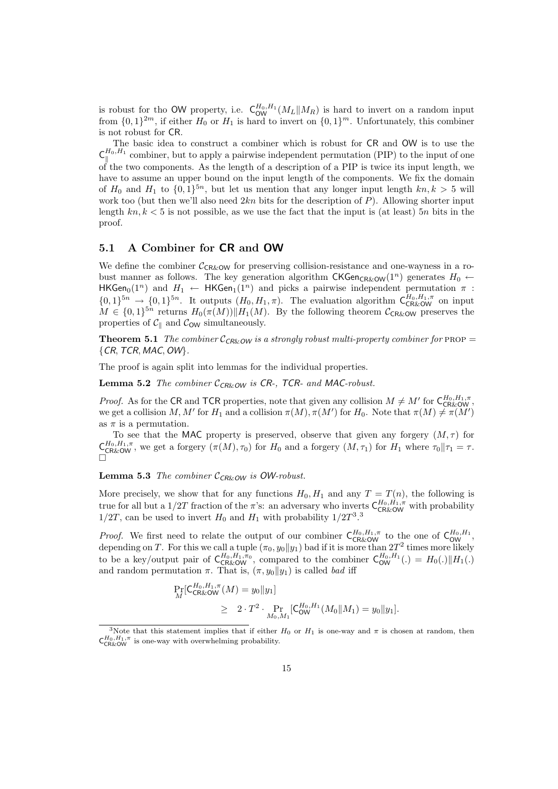is robust for tho OW property, i.e.  $C_{\text{OW}}^{H_0, H_1}(M_L||M_R)$  is hard to invert on a random input from  $\{0,1\}^{2m}$ , if either  $H_0$  or  $H_1$  is hard to invert on  $\{0,1\}^m$ . Unfortunately, this combiner is not robust for CR.

The basic idea to construct a combiner which is robust for CR and OW is to use the  $\mathsf{C}_\shortparallel^{H_0,H_1}$  $\mathbb{R}^{n_0,n_1}_{\parallel}$  combiner, but to apply a pairwise independent permutation (PIP) to the input of one of the two components. As the length of a description of a PIP is twice its input length, we have to assume an upper bound on the input length of the components. We fix the domain of  $H_0$  and  $H_1$  to  $\{0,1\}^{5n}$ , but let us mention that any longer input length  $kn, k > 5$  will work too (but then we'll also need  $2kn$  bits for the description of  $P$ ). Allowing shorter input length  $kn, k < 5$  is not possible, as we use the fact that the input is (at least) 5n bits in the proof.

### 5.1 A Combiner for CR and OW

We define the combiner  $C_{CR&OW}$  for preserving collision-resistance and one-wayness in a robust manner as follows. The key generation algorithm CKGen<sub>CR&OW</sub>(1<sup>n</sup>) generates  $H_0 \leftarrow$ HKGen<sub>0</sub>(1<sup>n</sup>) and  $H_1 \leftarrow$  HKGen<sub>1</sub>(1<sup>n</sup>) and picks a pairwise independent permutation  $\pi$ :  $\{0,1\}^{5n} \to \{0,1\}^{5n}$ . It outputs  $(H_0, H_1, \pi)$ . The evaluation algorithm  $C_{CR\&\text{OW}}^{H_0, H_1, \pi}$  on input  $M \in \{0,1\}^{5n}$  returns  $H_0(\pi(M)) \parallel H_1(M)$ . By the following theorem  $\mathcal{C}_{CR\&Q}$  preserves the properties of  $\mathcal{C}_{\parallel}$  and  $\mathcal{C}_{\text{OW}}$  simultaneously.

**Theorem 5.1** The combiner  $C_{CRk\text{-}OW}$  is a strongly robust multi-property combiner for PROP =  ${CR, TCR, MAC, OW}.$ 

The proof is again split into lemmas for the individual properties.

**Lemma 5.2** The combiner  $C_{CR\&OW}$  is CR-, TCR- and MAC-robust.

*Proof.* As for the CR and TCR properties, note that given any collision  $M \neq M'$  for  $C_{CR\&OW}^{H_0,H_1,\pi}$ , we get a collision M, M' for  $H_1$  and a collision  $\pi(M), \pi(M')$  for  $H_0$ . Note that  $\pi(M) \neq \pi(M')$ as  $\pi$  is a permutation.

To see that the MAC property is preserved, observe that given any forgery  $(M, \tau)$  for  $\mathsf{C}_{\mathsf{CR}\&\mathsf{OW}}^{H_0,H_1,\pi}$ , we get a forgery  $(\pi(M),\tau_0)$  for  $H_0$  and a forgery  $(M,\tau_1)$  for  $H_1$  where  $\tau_0\|\tau_1=\tau$ .  $\Box$ 

**Lemma 5.3** The combiner  $C_{CR\&OW}$  is OW-robust.

More precisely, we show that for any functions  $H_0, H_1$  and any  $T = T(n)$ , the following is true for all but a 1/2T fraction of the  $\pi$ 's: an adversary who inverts  $\mathsf{C}_{\mathsf{CR}\&\mathsf{OW}}^{H_0,H_1,\pi}$  with probability  $1/2T$ , can be used to invert  $H_0$  and  $H_1$  with probability  $1/2T^3$ .<sup>3</sup>

*Proof.* We first need to relate the output of our combiner  $C_{CR\&OW}^{H_0,H_1,\pi}$  to the one of  $C_{OW}^{H_0,H_1}$ , depending on T. For this we call a tuple  $(\pi_0, y_0 \| y_1)$  bad if it is more than  $2T^2$  times more likely to be a key/output pair of  $C_{CR\&OW}^{H_0,H_1,\pi_0}$ , compared to the combiner  $C_{OW}^{H_0,H_1}(.) = H_0(.) || H_1(.)$ and random permutation  $\pi$ . That is,  $(\pi, y_0||y_1)$  is called *bad* iff

$$
\Pr_{M}[\mathsf{C}_{\mathsf{CR\&\mathsf{OW}}^{H_1,\pi}(M) = y_0 \| y_1] \geq 2 \cdot T^2 \cdot \Pr_{M_0, M_1}[\mathsf{C}_{\mathsf{OW}}^{H_0, H_1}(M_0 \| M_1) = y_0 \| y_1].
$$

<sup>&</sup>lt;sup>3</sup>Note that this statement implies that if either  $H_0$  or  $H_1$  is one-way and  $\pi$  is chosen at random, then  $\mathsf{C}_{\mathsf{CR\&OW}}^{H_0,H_1,\pi}$  is one-way with overwhelming probability.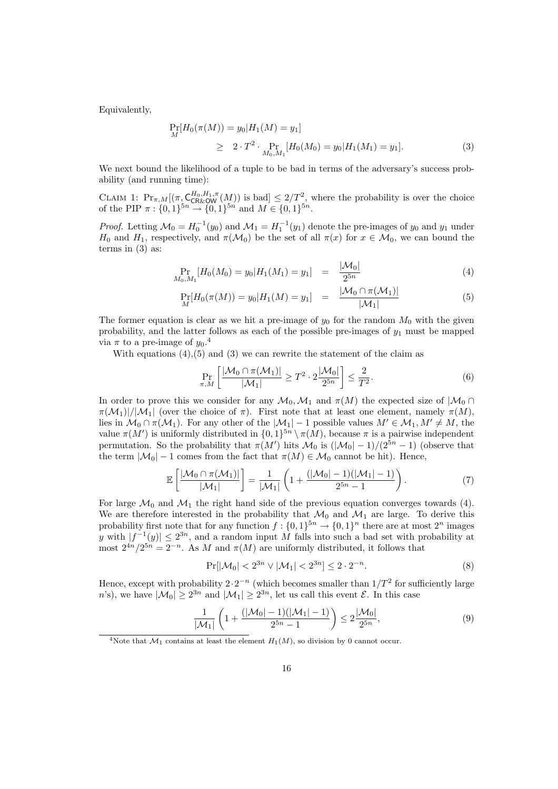Equivalently,

$$
\Pr_{M}[H_0(\pi(M)) = y_0 | H_1(M) = y_1] \n\geq 2 \cdot T^2 \cdot \Pr_{M_0, M_1}[H_0(M_0) = y_0 | H_1(M_1) = y_1].
$$
\n(3)

We next bound the likelihood of a tuple to be bad in terms of the adversary's success probability (and running time):

CLAIM 1:  $Pr_{\pi,M}[(\pi \cdot \mathcal{C}_{CR\&OW}^{H_0,H_1,\pi}(M))]$  is bad $] \leq 2/T^2$ , where the probability is over the choice of the PIP  $\pi: \{0,1\}^{5n} \to \{0,1\}^{5n}$  and  $M \in \{0,1\}^{5n}$ .

*Proof.* Letting  $\mathcal{M}_0 = H_0^{-1}(y_0)$  and  $\mathcal{M}_1 = H_1^{-1}(y_1)$  denote the pre-images of  $y_0$  and  $y_1$  under H<sub>0</sub> and H<sub>1</sub>, respectively, and  $\pi(\mathcal{M}_0)$  be the set of all  $\pi(x)$  for  $x \in \mathcal{M}_0$ , we can bound the terms in (3) as:

$$
\Pr_{M_0, M_1} [H_0(M_0) = y_0 | H_1(M_1) = y_1] = \frac{|\mathcal{M}_0|}{2^{5n}} \tag{4}
$$

$$
\Pr_M[H_0(\pi(M)) = y_0 | H_1(M) = y_1] = \frac{|\mathcal{M}_0 \cap \pi(\mathcal{M}_1)|}{|\mathcal{M}_1|} \tag{5}
$$

The former equation is clear as we hit a pre-image of  $y_0$  for the random  $M_0$  with the given probability, and the latter follows as each of the possible pre-images of  $y_1$  must be mapped via  $\pi$  to a pre-image of  $y_0$ .<sup>4</sup>

With equations  $(4)$ ,  $(5)$  and  $(3)$  we can rewrite the statement of the claim as

$$
\Pr_{\pi,M}\left[\frac{|\mathcal{M}_0 \cap \pi(\mathcal{M}_1)|}{|\mathcal{M}_1|} \ge T^2 \cdot 2\frac{|\mathcal{M}_0|}{2^{5n}}\right] \le \frac{2}{T^2}.\tag{6}
$$

In order to prove this we consider for any  $\mathcal{M}_0$ ,  $\mathcal{M}_1$  and  $\pi(M)$  the expected size of  $|\mathcal{M}_0 \cap$  $\pi(\mathcal{M}_1)|/|\mathcal{M}_1|$  (over the choice of  $\pi$ ). First note that at least one element, namely  $\pi(M)$ , lies in  $\mathcal{M}_0 \cap \pi(\mathcal{M}_1)$ . For any other of the  $|\mathcal{M}_1| - 1$  possible values  $M' \in \mathcal{M}_1, M' \neq M$ , the value  $\pi(M')$  is uniformly distributed in  $\{0,1\}^{5n} \setminus \pi(M)$ , because  $\pi$  is a pairwise independent permutation. So the probability that  $\pi(M')$  hits  $\mathcal{M}_0$  is  $(|\mathcal{M}_0| - 1)/(2^{5n} - 1)$  (observe that the term  $|\mathcal{M}_0| - 1$  comes from the fact that  $\pi(M) \in \mathcal{M}_0$  cannot be hit). Hence,

$$
\mathbb{E}\left[\frac{|\mathcal{M}_0 \cap \pi(\mathcal{M}_1)|}{|\mathcal{M}_1|}\right] = \frac{1}{|\mathcal{M}_1|} \left(1 + \frac{(|\mathcal{M}_0| - 1)(|\mathcal{M}_1| - 1)}{2^{5n} - 1}\right).
$$
\n(7)

For large  $\mathcal{M}_0$  and  $\mathcal{M}_1$  the right hand side of the previous equation converges towards (4). We are therefore interested in the probability that  $\mathcal{M}_0$  and  $\mathcal{M}_1$  are large. To derive this probability first note that for any function  $f: \{0,1\}^{5n} \to \{0,1\}^n$  there are at most  $2^n$  images y with  $|f^{-1}(y)| \leq 2^{3n}$ , and a random input M falls into such a bad set with probability at most  $2^{4n}/2^{5n} = 2^{-n}$ . As M and  $\pi(M)$  are uniformly distributed, it follows that

$$
\Pr[|\mathcal{M}_0| < 2^{3n} \lor |\mathcal{M}_1| < 2^{3n}] \le 2 \cdot 2^{-n}.\tag{8}
$$

Hence, except with probability  $2 \cdot 2^{-n}$  (which becomes smaller than  $1/T^2$  for sufficiently large n's), we have  $|\mathcal{M}_0| \geq 2^{3n}$  and  $|\mathcal{M}_1| \geq 2^{3n}$ , let us call this event  $\mathcal{E}$ . In this case

$$
\frac{1}{|\mathcal{M}_1|} \left( 1 + \frac{(|\mathcal{M}_0| - 1)(|\mathcal{M}_1| - 1)}{2^{5n} - 1} \right) \le 2 \frac{|\mathcal{M}_0|}{2^{5n}},\tag{9}
$$

<sup>&</sup>lt;sup>4</sup>Note that  $\mathcal{M}_1$  contains at least the element  $H_1(M)$ , so division by 0 cannot occur.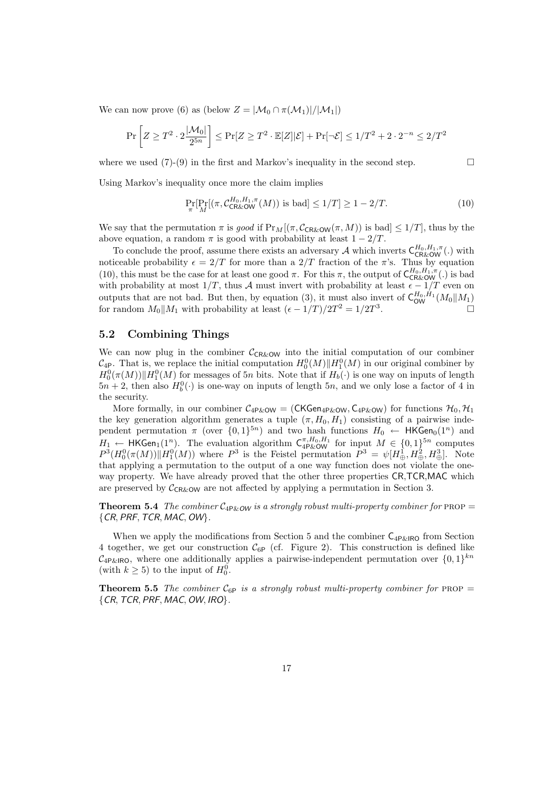We can now prove (6) as (below  $Z = |\mathcal{M}_0 \cap \pi(\mathcal{M}_1)|/|\mathcal{M}_1|$ )

$$
\Pr\left[Z \ge T^2 \cdot 2\frac{|\mathcal{M}_0|}{2^{5n}}\right] \le \Pr[Z \ge T^2 \cdot \mathbb{E}[Z]|\mathcal{E}] + \Pr[\neg \mathcal{E}] \le 1/T^2 + 2 \cdot 2^{-n} \le 2/T^2
$$

where we used  $(7)-(9)$  in the first and Markov's inequality in the second step.

Using Markov's inequality once more the claim implies

$$
\Pr_{\pi}[Pr_M[(\pi, \mathcal{C}_{\text{CR\&\text{OW}}^{H_0, H_1, \pi}(M)) \text{ is bad}] \le 1/T] \ge 1 - 2/T. \tag{10}
$$

We say that the permutation  $\pi$  is good if  $Pr_M[(\pi, C_{CR\&OW}(\pi, M))$  is bad $] \leq 1/T$ , thus by the above equation, a random  $\pi$  is good with probability at least  $1 - 2/T$ .

To conclude the proof, assume there exists an adversary  $\mathcal A$  which inverts  $C_{CR\&OW}^{H_0,H_1,\pi}$ . noticeable probability  $\epsilon = 2/T$  for more than a  $2/T$  fraction of the  $\pi$ 's. Thus by equation (10), this must be the case for at least one good  $\pi$ . For this  $\pi$ , the output of  $C_{CR\&\text{OW}}^{H_0,H_1,\pi}$ .) is bad with probability at most  $1/T$ , thus A must invert with probability at least  $\epsilon - 1/T$  even on outputs that are not bad. But then, by equation (3), it must also invert of  $\mathsf{C}^{H_0,H_1}_{\mathsf{OW}}(M_0||M_1)$ for random  $M_0||M_1$  with probability at least  $(\epsilon - 1/T)/2T^2 = 1/2T^3$ .

### 5.2 Combining Things

We can now plug in the combiner  $C_{CR\&OM}$  into the initial computation of our combiner  $\mathcal{C}_{4P}$ . That is, we replace the initial computation  $H_0^0(M)$  || $H_1^0(M)$  in our original combiner by  $H_0^0(\pi(M))$   $\Vert H_1^0(M)$  for messages of 5n bits. Note that if  $H_b(\cdot)$  is one way on inputs of length  $5n + 2$ , then also  $H_b^0(\cdot)$  is one-way on inputs of length  $5n$ , and we only lose a factor of 4 in the security.

More formally, in our combiner  $C_{4P\&0}$  = (CKGen<sub>4P&OW</sub>,  $C_{4P\&0}$ ) for functions  $\mathcal{H}_0$ ,  $\mathcal{H}_1$ the key generation algorithm generates a tuple  $(\pi, H_0, H_1)$  consisting of a pairwise independent permutation  $\pi$  (over  $\{0,1\}^{5n}$ ) and two hash functions  $H_0 \leftarrow \mathsf{HKGen}_0(1^n)$  and  $H_1 \leftarrow \mathsf{HKGen}_1(1^n)$ . The evaluation algorithm  $\mathsf{C}_{4\mathsf{P\&OW}}^{\pi,H_0,H_1}$  for input  $M \in \{0,1\}^{5n}$  computes  $P^3(H_0^0(\pi(M))||H_1^0(M))$  where  $P^3$  is the Feistel permutation  $P^3 = \psi[H_\oplus^1, H_\oplus^2, H_\oplus^3]$ . Note that applying a permutation to the output of a one way function does not violate the oneway property. We have already proved that the other three properties CR,TCR,MAC which are preserved by  $C_{CR\&OW}$  are not affected by applying a permutation in Section 3.

**Theorem 5.4** The combiner  $C_{4P\&\,OW}$  is a strongly robust multi-property combiner for PROP =  ${CR, PRF, TCR, MAC, OW}.$ 

When we apply the modifications from Section 5 and the combiner  $C_{4P\&R}$  from Section 4 together, we get our construction  $C_{6P}$  (cf. Figure 2). This construction is defined like  $\mathcal{C}_{4\text{P\&R}\text{O}}$ , where one additionally applies a pairwise-independent permutation over  $\{0,1\}^{kn}$ (with  $k \geq 5$ ) to the input of  $H_0^0$ .

**Theorem 5.5** The combiner  $C_{6P}$  is a strongly robust multi-property combiner for PROP  ${CR, TCR, PRF, MAC, OW, IRO}.$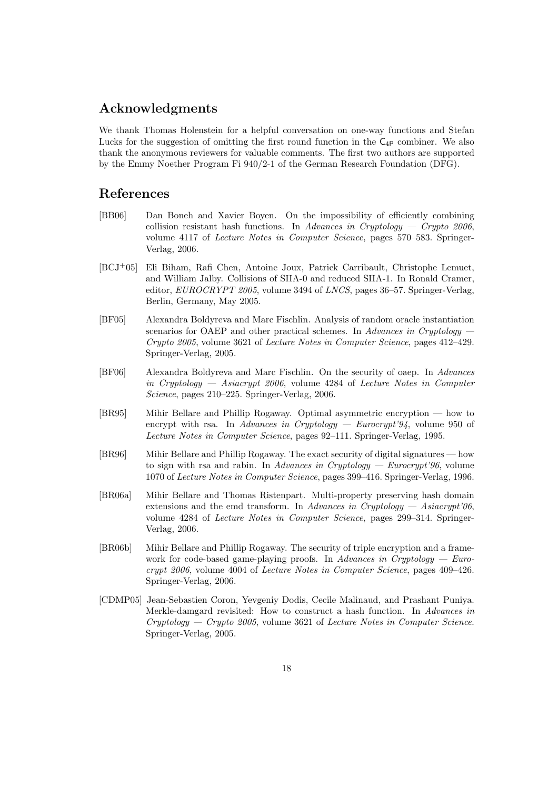# Acknowledgments

We thank Thomas Holenstein for a helpful conversation on one-way functions and Stefan Lucks for the suggestion of omitting the first round function in the  $C_{4P}$  combiner. We also thank the anonymous reviewers for valuable comments. The first two authors are supported by the Emmy Noether Program Fi 940/2-1 of the German Research Foundation (DFG).

# References

- [BB06] Dan Boneh and Xavier Boyen. On the impossibility of efficiently combining collision resistant hash functions. In Advances in Cryptology  $-$  Crypto 2006, volume 4117 of Lecture Notes in Computer Science, pages 570–583. Springer-Verlag, 2006.
- [BCJ+05] Eli Biham, Rafi Chen, Antoine Joux, Patrick Carribault, Christophe Lemuet, and William Jalby. Collisions of SHA-0 and reduced SHA-1. In Ronald Cramer, editor, EUROCRYPT 2005, volume 3494 of LNCS, pages 36–57. Springer-Verlag, Berlin, Germany, May 2005.
- [BF05] Alexandra Boldyreva and Marc Fischlin. Analysis of random oracle instantiation scenarios for OAEP and other practical schemes. In Advances in Cryptology Crypto 2005, volume 3621 of Lecture Notes in Computer Science, pages 412–429. Springer-Verlag, 2005.
- [BF06] Alexandra Boldyreva and Marc Fischlin. On the security of oaep. In Advances in Cryptology — Asiacrypt 2006, volume 4284 of Lecture Notes in Computer Science, pages 210–225. Springer-Verlag, 2006.
- [BR95] Mihir Bellare and Phillip Rogaway. Optimal asymmetric encryption how to encrypt with rsa. In Advances in Cryptology — Eurocrypt'94, volume 950 of Lecture Notes in Computer Science, pages 92–111. Springer-Verlag, 1995.
- [BR96] Mihir Bellare and Phillip Rogaway. The exact security of digital signatures how to sign with rsa and rabin. In Advances in Cryptology — Eurocrypt'96, volume 1070 of Lecture Notes in Computer Science, pages 399–416. Springer-Verlag, 1996.
- [BR06a] Mihir Bellare and Thomas Ristenpart. Multi-property preserving hash domain extensions and the emd transform. In Advances in Cryptology — Asiacrypt'06, volume 4284 of Lecture Notes in Computer Science, pages 299–314. Springer-Verlag, 2006.
- [BR06b] Mihir Bellare and Phillip Rogaway. The security of triple encryption and a framework for code-based game-playing proofs. In Advances in Cryptology  $-$  Eurocrypt 2006, volume 4004 of Lecture Notes in Computer Science, pages 409–426. Springer-Verlag, 2006.
- [CDMP05] Jean-Sebastien Coron, Yevgeniy Dodis, Cecile Malinaud, and Prashant Puniya. Merkle-damgard revisited: How to construct a hash function. In Advances in  $Cryptology - Crypto 2005$ , volume 3621 of Lecture Notes in Computer Science. Springer-Verlag, 2005.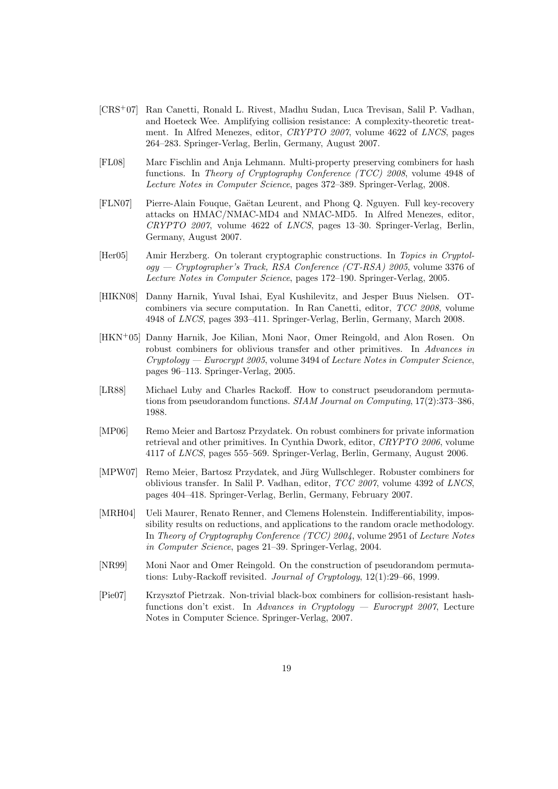- [CRS+07] Ran Canetti, Ronald L. Rivest, Madhu Sudan, Luca Trevisan, Salil P. Vadhan, and Hoeteck Wee. Amplifying collision resistance: A complexity-theoretic treatment. In Alfred Menezes, editor, CRYPTO 2007, volume 4622 of LNCS, pages 264–283. Springer-Verlag, Berlin, Germany, August 2007.
- [FL08] Marc Fischlin and Anja Lehmann. Multi-property preserving combiners for hash functions. In Theory of Cryptography Conference (TCC) 2008, volume 4948 of Lecture Notes in Computer Science, pages 372–389. Springer-Verlag, 2008.
- [FLN07] Pierre-Alain Fouque, Gaëtan Leurent, and Phong Q. Nguyen. Full key-recovery attacks on HMAC/NMAC-MD4 and NMAC-MD5. In Alfred Menezes, editor, CRYPTO 2007, volume 4622 of LNCS, pages 13–30. Springer-Verlag, Berlin, Germany, August 2007.
- [Her05] Amir Herzberg. On tolerant cryptographic constructions. In Topics in Cryptol $ogy - Cryptographer's Track, RSA Conference (CT-RSA) 2005$ , volume 3376 of Lecture Notes in Computer Science, pages 172–190. Springer-Verlag, 2005.
- [HIKN08] Danny Harnik, Yuval Ishai, Eyal Kushilevitz, and Jesper Buus Nielsen. OTcombiners via secure computation. In Ran Canetti, editor, TCC 2008, volume 4948 of LNCS, pages 393–411. Springer-Verlag, Berlin, Germany, March 2008.
- [HKN<sup>+</sup>05] Danny Harnik, Joe Kilian, Moni Naor, Omer Reingold, and Alon Rosen. On robust combiners for oblivious transfer and other primitives. In Advances in Cryptology — Eurocrypt 2005, volume 3494 of Lecture Notes in Computer Science, pages 96–113. Springer-Verlag, 2005.
- [LR88] Michael Luby and Charles Rackoff. How to construct pseudorandom permutations from pseudorandom functions. SIAM Journal on Computing, 17(2):373–386, 1988.
- [MP06] Remo Meier and Bartosz Przydatek. On robust combiners for private information retrieval and other primitives. In Cynthia Dwork, editor, CRYPTO 2006, volume 4117 of LNCS, pages 555–569. Springer-Verlag, Berlin, Germany, August 2006.
- [MPW07] Remo Meier, Bartosz Przydatek, and Jürg Wullschleger. Robuster combiners for oblivious transfer. In Salil P. Vadhan, editor, TCC 2007, volume 4392 of LNCS, pages 404–418. Springer-Verlag, Berlin, Germany, February 2007.
- [MRH04] Ueli Maurer, Renato Renner, and Clemens Holenstein. Indifferentiability, impossibility results on reductions, and applications to the random oracle methodology. In Theory of Cryptography Conference (TCC) 2004, volume 2951 of Lecture Notes in Computer Science, pages 21–39. Springer-Verlag, 2004.
- [NR99] Moni Naor and Omer Reingold. On the construction of pseudorandom permutations: Luby-Rackoff revisited. Journal of Cryptology, 12(1):29–66, 1999.
- [Pie07] Krzysztof Pietrzak. Non-trivial black-box combiners for collision-resistant hashfunctions don't exist. In Advances in Cryptology — Eurocrypt 2007, Lecture Notes in Computer Science. Springer-Verlag, 2007.